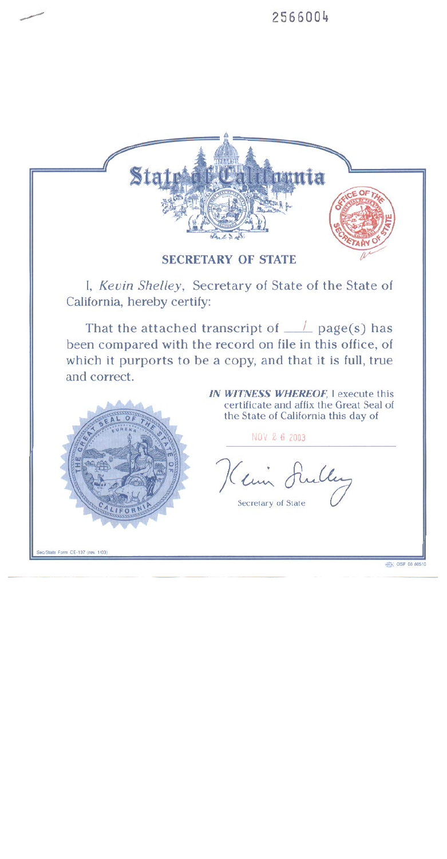



I, Kevin Shelley, Secretary of State of the State of California, hereby certify:

That the attached transcript of  $\_\_$  page(s) has been compared with the record on file in this office, of which it purports to be a copy, and that it is full, true and correct.



IN WITNESS WHEREOF. I execute this certificate and affix the Great Seal of the State of California this day of

NOV 2 6 2003

Kein Sulley

Secretary of State

Sec/State Form CE-107 (rev. 1/03)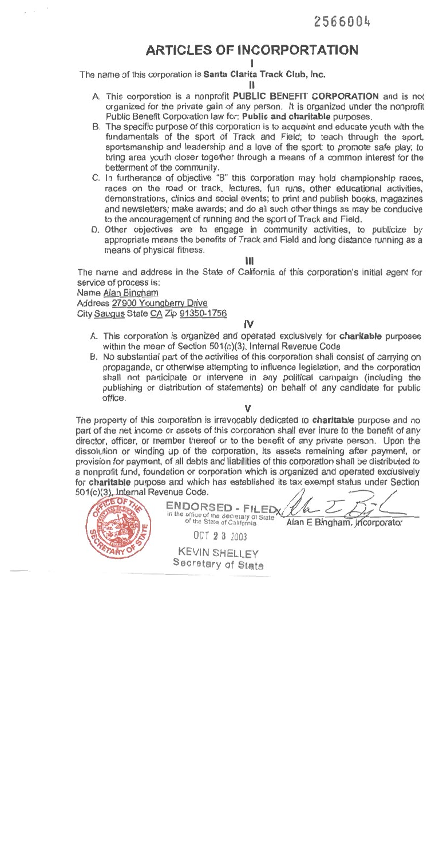# **ARTICLES OF INCORPORTATION**

The name of this corporation is Santa Clarita Track Club, Inc.

- A. This corporation is a nonprofit PUBLIC BENEFIT CORPORATION and is not organized for the private gain of any person. It is organized under the nonprofit Public Benefit Corporation law for: Public and charitable purposes.
- B. The specific purpose of this corporation is to acquaint and educate youth with the fundamentals of the sport of Track and Field; to teach through the sport, sportsmanship and leadership and a love of the sport; to promote safe play; to bring area youth closer together through a means of a common interest for the betterment of the community.
- C. In furtherance of objective "B" this corporation may hold championship races, races on the road or track, lectures, fun runs, other educational activities, demonstrations, clinics and social events; to print and publish books, magazines and newsletters; make awards; and do all such other things as may be conducive to the encouragement of running and the sport of Track and Field.
- D. Other objectives are to engage in community activities, to publicize by appropriate means the benefits of Track and Field and long distance running as a means of physical fitness.

Ш

The name and address in the State of California of this corporation's initial agent for service of process is:

Name Alan Bingham

Address 27900 Youngberry Drive City Saugus State CA Zip 91350-1756

## IV

- A. This corporation is organized and operated exclusively for charitable purposes within the mean of Section 501(c)(3), Internal Revenue Code
- B. No substantial part of the activities of this corporation shall consist of carrying on propaganda, or otherwise attempting to influence legislation, and the corporation shall not participate or intervene in any political campaign (including the publishing or distribution of statements) on behalf of any candidate for public office.

ν

The property of this corporation is irrevocably dedicated to charitable purpose and no part of the net income or assets of this corporation shall ever inure to the benefit of any director, officer, or member thereof or to the benefit of any private person. Upon the dissolution or winding up of the corporation, its assets remaining after payment, or provision for payment, of all debts and liabilities of this corporation shall be distributed to a nonprofit fund, foundation or corporation which is organized and operated exclusively for charitable purpose and which has established its tax exempt status under Section 501/c)/3). Internal Revenue Code.  $\sqrt{ }$ 

| ENDORSED - FILEDX/<br>in the office of the Secretary of State<br>Alan E Bingham, Incorporator<br>of the State of California<br>OCT 2 3 2003 |  |
|---------------------------------------------------------------------------------------------------------------------------------------------|--|
| <b>KEVIN SHELLEY</b><br>Secretary of State                                                                                                  |  |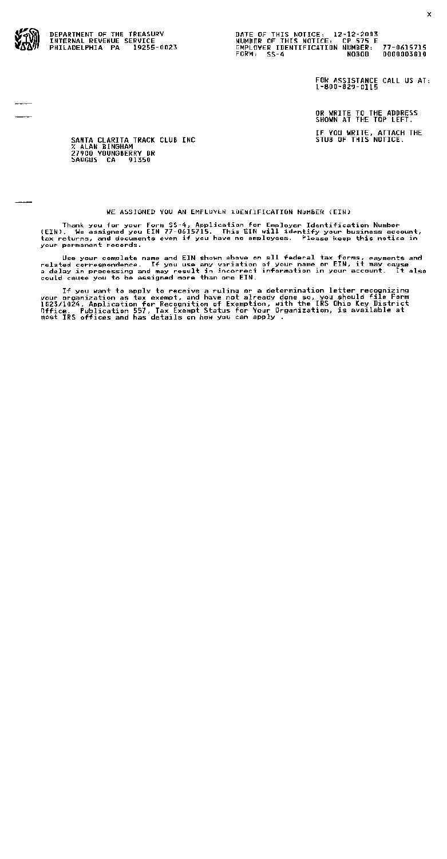DEPARTMENT OF THE TREASURY INTERNAL REVENUE SERVICE PHILADELPHIA PA 19255-0023

FOR ASSISTANCE CALL US AT:  $1 - 800 - 829 - 0115$ 

OR WRITE TO THE ADDRESS<br>SHOWN AT THE TOP LEFT.

IF YOU WRITE, ATTACH THE<br>STUB OF THIS NOTICE.

SANTA CLARITA TRACK CLUB INC **EXALAN BINGHAM**<br>27900 YOUNGBERRY DR<br>SAUGUS CA 91350

### WE ASSIGNED YOU AN EMPLOYER IDENTIFICATION NUMBER (EIN)

Thank you for your Form SS-4, Application for Employer Identification Number<br>(EIN), We assigned you EIN 77-0615715. This EIN will identify your business account, tax returns, and documents even if you have no employees. Please keep this notice in your permanent records.

Use your complate name and EIN shown above on all federal tax forms, payments and<br>related correspondence. If you use any variation of your name or EIN, it may cause<br>and distinguing the condition in incorrect information in could cause you to be assigned more than one EIN.

If you want to apply to receive a ruling or a determination letter recognizing<br>your proanization as tax exempt, and have not already done so, you should file Form<br>1023/1024, Application for Recognition of Exemption, with t most IRS offices and has details on how you can apply.

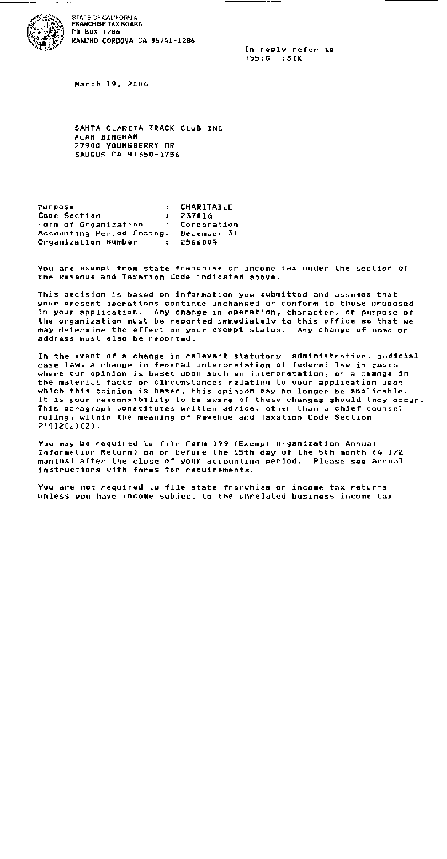

STATE OF CALIFORNIA **FRANCHISE TAX BOARD** PO BOX 1286 RANCHO CORDOVA CA 95741-1286

> In reply refer to 755:G :SIK

March 19, 2004

SANTA CLARITA TRACK CLUB INC ALAN BINGHAM 27900 YOUNGBERRY DR SAUGUS CA 91350-1756

Purpose CHARITABLE  $\cdot$ Code Section 23701d  $\ddot{\phantom{a}}$ Form of Organization Corporation  $\mathbf{r}$ Accounting Period Ending: December 31 Organization Number  $\mathbf{r}$ 2566004

You are exempt from state franchise or income tax under the section of the Revenue and Taxation Code indicated above.

This decision is based on information you submitted and assumes that your present operations continue unchanged or conform to those proposed in your application. Any change in operation, character, or purpose of the organization must be reported immediately to this office so that we may determine the effect on your exempt status. Any change of name or address must also be reported.

In the event of a change in relevant statutory, administrative, judicial case law, a change in federal interpretation of federal law in cases where our opinion is based upon such an interpretation, or a change in the material facts or circumstances relating to your application upon which this opinion is based, this opinion may no longer be applicable. It is your responsibility to be aware of these changes should they occur. This paragraph constitutes written advice, other than a chief counsel ruling, within the meaning of Revenue and Taxation Code Section  $21012(a)(2)$ .

You may be required to file Form 199 (Exempt Organization Annual Information Return) on or before the 15th day of the 5th month (4 1/2 months) after the close of your accounting period. Please see annual instructions with forms for requirements.

You are not required to file state franchise or income tax returns unless you have income subject to the unrelated business income tax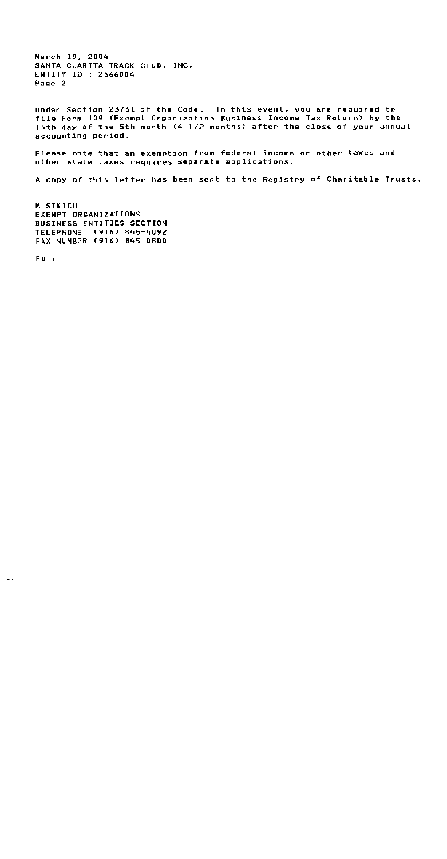March 19, 2004 SANTA CLARITA TRACK CLUB, INC. ENTITY ID : 2566004 Page 2

under Section 23731 of the Code. In this event, you are required to file Form 109 (Exempt Organization Business Income Tax Return) by the 15th day of the 5th month (4 1/2 months) after the close of your annual accounting period.

Please note that an exemption from federal income or other taxes and other state taxes requires separate applications.

A copy of this letter has been sent to the Registry of Charitable Trusts.

M SIKICH EXEMPT ORGANIZATIONS **BUSINESS ENTITIES SECTION** TELEPHONE (916) 845-4092 FAX NUMBER (916) 845-0800

 $E0:$ 

 $\overline{\phantom{a}}$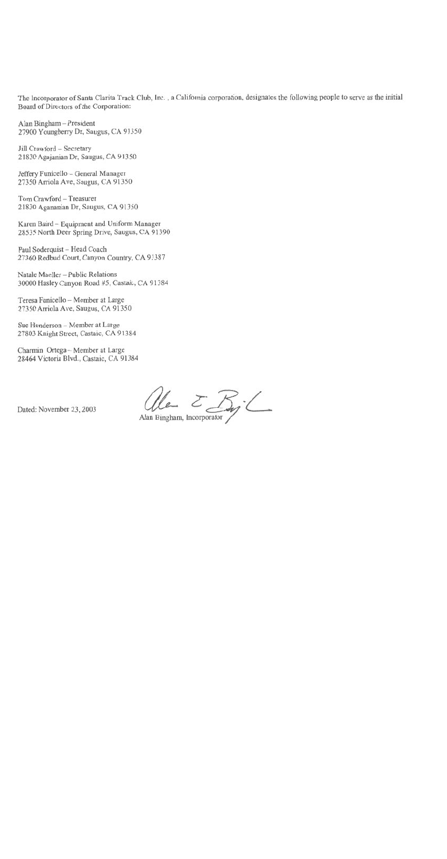The Incorporator of Santa Clarita Track Club, Inc., a California corporation, designates the following people to serve as the initial Board of Directors of the Corporation:

Alan Bingham - President 27900 Youngberry Dr, Saugus, CA 91350

Jill Crawford - Secretary 21830 Agajanian Dr, Saugus, CA 91350

Jeffery Funicello - General Manager 27350 Arriola Ave, Saugus, CA 91350

Tom Crawford - Treasurer 21830 Agananian Dr, Saugus, CA 91350

Karen Baird - Equipment and Uniform Manager 28535 North Deer Spring Drive, Saugus, CA 91390

Paul Soderquist - Head Coach 27360 Redbud Court, Canyon Country, CA 91387

Natale Maeller - Public Relations 30000 Hasley Canyon Road #5, Castaic, CA 91384

Teresa Funicello - Member at Large 27350 Arriola Ave, Saugus, CA 91350

Sue Henderson - Member at Large 27803 Knight Street, Castaic, CA 91384

Charmin Ortega - Member at Large 28464 Victoria Blvd., Castaic, CA 91384

Ale EBy-L

Dated: November 23, 2003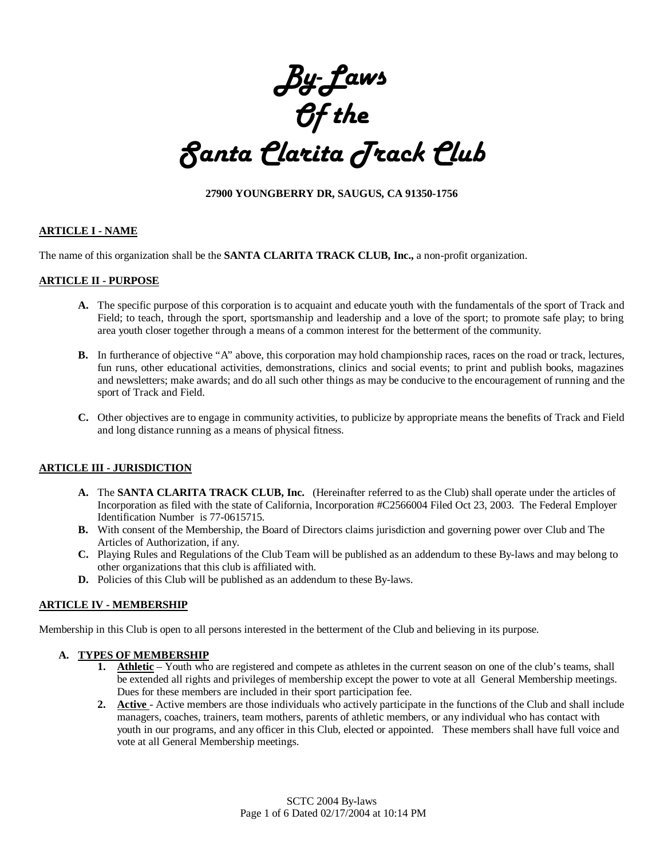*By-Laws Of the Santa Clarita Track Club*

### **27900 YOUNGBERRY DR, SAUGUS, CA 91350-1756**

### **ARTICLE I - NAME**

The name of this organization shall be the **SANTA CLARITA TRACK CLUB, Inc.,** a non-profit organization.

### **ARTICLE II - PURPOSE**

- **A.** The specific purpose of this corporation is to acquaint and educate youth with the fundamentals of the sport of Track and Field; to teach, through the sport, sportsmanship and leadership and a love of the sport; to promote safe play; to bring area youth closer together through a means of a common interest for the betterment of the community.
- **B.** In furtherance of objective "A" above, this corporation may hold championship races, races on the road or track, lectures, fun runs, other educational activities, demonstrations, clinics and social events; to print and publish books, magazines and newsletters; make awards; and do all such other things as may be conducive to the encouragement of running and the sport of Track and Field.
- **C.** Other objectives are to engage in community activities, to publicize by appropriate means the benefits of Track and Field and long distance running as a means of physical fitness.

### **ARTICLE III - JURISDICTION**

- **A.** The **SANTA CLARITA TRACK CLUB, Inc.** (Hereinafter referred to as the Club) shall operate under the articles of Incorporation as filed with the state of California, Incorporation #C2566004 Filed Oct 23, 2003. The Federal Employer Identification Number is 77-0615715.
- **B.** With consent of the Membership, the Board of Directors claims jurisdiction and governing power over Club and The Articles of Authorization, if any.
- **C.** Playing Rules and Regulations of the Club Team will be published as an addendum to these By-laws and may belong to other organizations that this club is affiliated with.
- **D.** Policies of this Club will be published as an addendum to these By-laws.

### **ARTICLE IV - MEMBERSHIP**

Membership in this Club is open to all persons interested in the betterment of the Club and believing in its purpose.

### **A. TYPES OF MEMBERSHIP**

- **1. Athletic** Youth who are registered and compete as athletes in the current season on one of the club's teams, shall be extended all rights and privileges of membership except the power to vote at all General Membership meetings. Dues for these members are included in their sport participation fee.
- **2. Active**  Active members are those individuals who actively participate in the functions of the Club and shall include managers, coaches, trainers, team mothers, parents of athletic members, or any individual who has contact with youth in our programs, and any officer in this Club, elected or appointed. These members shall have full voice and vote at all General Membership meetings.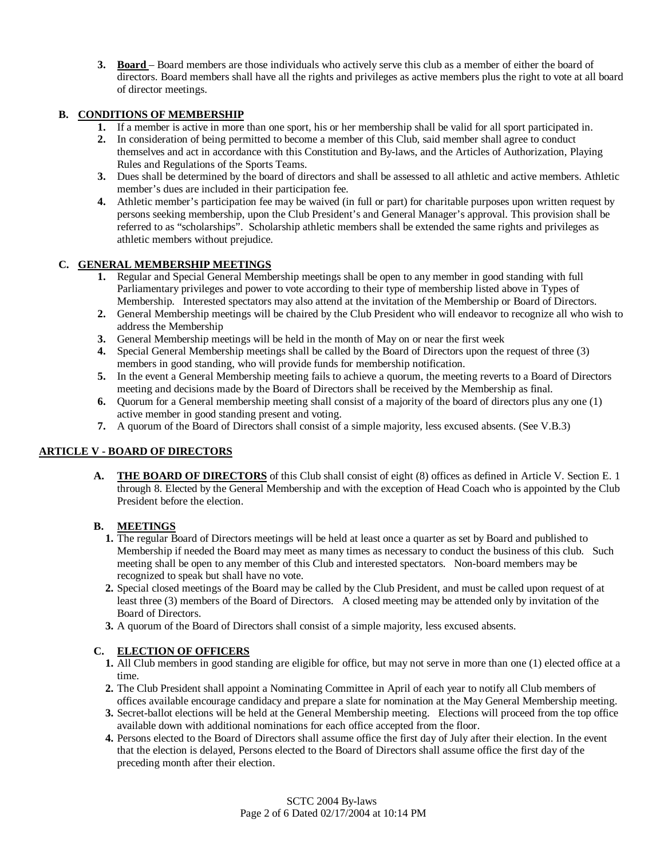**3. Board** – Board members are those individuals who actively serve this club as a member of either the board of directors. Board members shall have all the rights and privileges as active members plus the right to vote at all board of director meetings.

### **B. CONDITIONS OF MEMBERSHIP**

- **1.** If a member is active in more than one sport, his or her membership shall be valid for all sport participated in.
- **2.** In consideration of being permitted to become a member of this Club, said member shall agree to conduct themselves and act in accordance with this Constitution and By-laws, and the Articles of Authorization, Playing Rules and Regulations of the Sports Teams.
- **3.** Dues shall be determined by the board of directors and shall be assessed to all athletic and active members. Athletic member's dues are included in their participation fee.
- **4.** Athletic member's participation fee may be waived (in full or part) for charitable purposes upon written request by persons seeking membership, upon the Club President's and General Manager's approval. This provision shall be referred to as "scholarships". Scholarship athletic members shall be extended the same rights and privileges as athletic members without prejudice.

### **C. GENERAL MEMBERSHIP MEETINGS**

- **1.** Regular and Special General Membership meetings shall be open to any member in good standing with full Parliamentary privileges and power to vote according to their type of membership listed above in Types of Membership. Interested spectators may also attend at the invitation of the Membership or Board of Directors.
- **2.** General Membership meetings will be chaired by the Club President who will endeavor to recognize all who wish to address the Membership
- **3.** General Membership meetings will be held in the month of May on or near the first week
- **4.** Special General Membership meetings shall be called by the Board of Directors upon the request of three (3) members in good standing, who will provide funds for membership notification.
- **5.** In the event a General Membership meeting fails to achieve a quorum, the meeting reverts to a Board of Directors meeting and decisions made by the Board of Directors shall be received by the Membership as final.
- **6.** Quorum for a General membership meeting shall consist of a majority of the board of directors plus any one (1) active member in good standing present and voting.
- **7.** A quorum of the Board of Directors shall consist of a simple majority, less excused absents. (See V.B.3)

### **ARTICLE V - BOARD OF DIRECTORS**

**A. THE BOARD OF DIRECTORS** of this Club shall consist of eight (8) offices as defined in Article V. Section E. 1 through 8. Elected by the General Membership and with the exception of Head Coach who is appointed by the Club President before the election.

### **B. MEETINGS**

- **1.** The regular Board of Directors meetings will be held at least once a quarter as set by Board and published to Membership if needed the Board may meet as many times as necessary to conduct the business of this club. Such meeting shall be open to any member of this Club and interested spectators. Non-board members may be recognized to speak but shall have no vote.
- **2.** Special closed meetings of the Board may be called by the Club President, and must be called upon request of at least three (3) members of the Board of Directors. A closed meeting may be attended only by invitation of the Board of Directors.
- **3.** A quorum of the Board of Directors shall consist of a simple majority, less excused absents.

### **C. ELECTION OF OFFICERS**

- **1.** All Club members in good standing are eligible for office, but may not serve in more than one (1) elected office at a time.
- **2.** The Club President shall appoint a Nominating Committee in April of each year to notify all Club members of offices available encourage candidacy and prepare a slate for nomination at the May General Membership meeting.
- **3.** Secret-ballot elections will be held at the General Membership meeting. Elections will proceed from the top office available down with additional nominations for each office accepted from the floor.
- **4.** Persons elected to the Board of Directors shall assume office the first day of July after their election. In the event that the election is delayed, Persons elected to the Board of Directors shall assume office the first day of the preceding month after their election.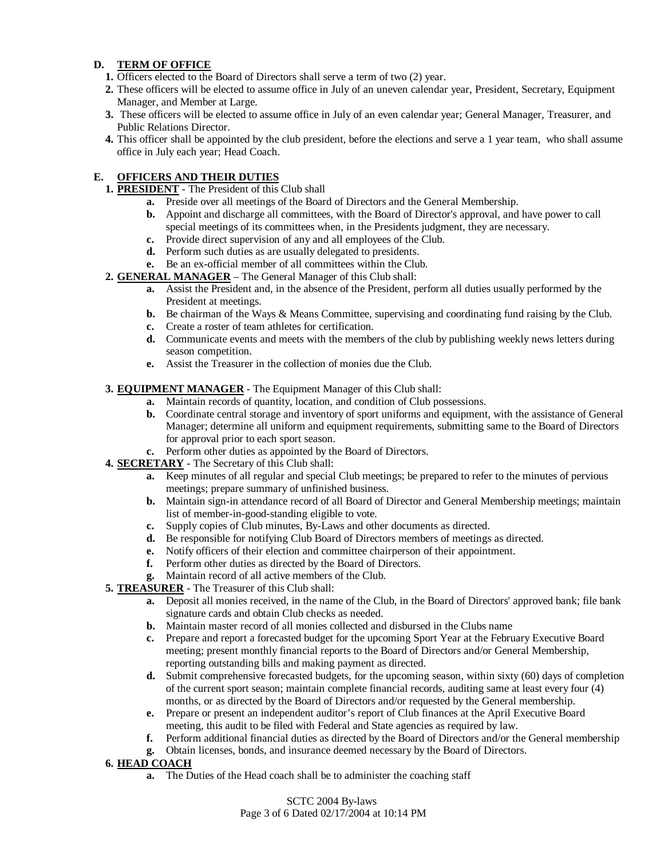### **D. TERM OF OFFICE**

- **1.** Officers elected to the Board of Directors shall serve a term of two (2) year.
- **2.** These officers will be elected to assume office in July of an uneven calendar year, President, Secretary, Equipment Manager, and Member at Large.
- **3.** These officers will be elected to assume office in July of an even calendar year; General Manager, Treasurer, and Public Relations Director.
- **4.** This officer shall be appointed by the club president, before the elections and serve a 1 year team, who shall assume office in July each year; Head Coach.

### **E. OFFICERS AND THEIR DUTIES**

- **1. PRESIDENT** The President of this Club shall
	- **a.** Preside over all meetings of the Board of Directors and the General Membership.
	- **b.** Appoint and discharge all committees, with the Board of Director's approval, and have power to call special meetings of its committees when, in the Presidents judgment, they are necessary.
	- **c.** Provide direct supervision of any and all employees of the Club.
	- **d.** Perform such duties as are usually delegated to presidents.
	- **e.** Be an ex-official member of all committees within the Club.
- **2. GENERAL MANAGER** The General Manager of this Club shall:
	- **a.** Assist the President and, in the absence of the President, perform all duties usually performed by the President at meetings.
	- **b.** Be chairman of the Ways & Means Committee, supervising and coordinating fund raising by the Club.
	- **c.** Create a roster of team athletes for certification.
	- **d.** Communicate events and meets with the members of the club by publishing weekly news letters during season competition.
	- **e.** Assist the Treasurer in the collection of monies due the Club.

### **3. EQUIPMENT MANAGER** - The Equipment Manager of this Club shall:

- **a.** Maintain records of quantity, location, and condition of Club possessions.
- **b.** Coordinate central storage and inventory of sport uniforms and equipment, with the assistance of General Manager; determine all uniform and equipment requirements, submitting same to the Board of Directors for approval prior to each sport season.
- **c.** Perform other duties as appointed by the Board of Directors.
- **4. SECRETARY** The Secretary of this Club shall:
	- **a.** Keep minutes of all regular and special Club meetings; be prepared to refer to the minutes of pervious meetings; prepare summary of unfinished business.
	- **b.** Maintain sign-in attendance record of all Board of Director and General Membership meetings; maintain list of member-in-good-standing eligible to vote.
	- **c.** Supply copies of Club minutes, By-Laws and other documents as directed.
	- **d.** Be responsible for notifying Club Board of Directors members of meetings as directed.
	- **e.** Notify officers of their election and committee chairperson of their appointment.
	- **f.** Perform other duties as directed by the Board of Directors.
	- **g.** Maintain record of all active members of the Club.
- **5. TREASURER** The Treasurer of this Club shall:
	- **a.** Deposit all monies received, in the name of the Club, in the Board of Directors' approved bank; file bank signature cards and obtain Club checks as needed.
	- **b.** Maintain master record of all monies collected and disbursed in the Clubs name
	- **c.** Prepare and report a forecasted budget for the upcoming Sport Year at the February Executive Board meeting; present monthly financial reports to the Board of Directors and/or General Membership, reporting outstanding bills and making payment as directed.
	- **d.** Submit comprehensive forecasted budgets, for the upcoming season, within sixty (60) days of completion of the current sport season; maintain complete financial records, auditing same at least every four (4) months, or as directed by the Board of Directors and/or requested by the General membership.
	- **e.** Prepare or present an independent auditor's report of Club finances at the April Executive Board meeting, this audit to be filed with Federal and State agencies as required by law.
	- **f.** Perform additional financial duties as directed by the Board of Directors and/or the General membership
	- **g.** Obtain licenses, bonds, and insurance deemed necessary by the Board of Directors.
- **6. HEAD COACH**
	- **a.** The Duties of the Head coach shall be to administer the coaching staff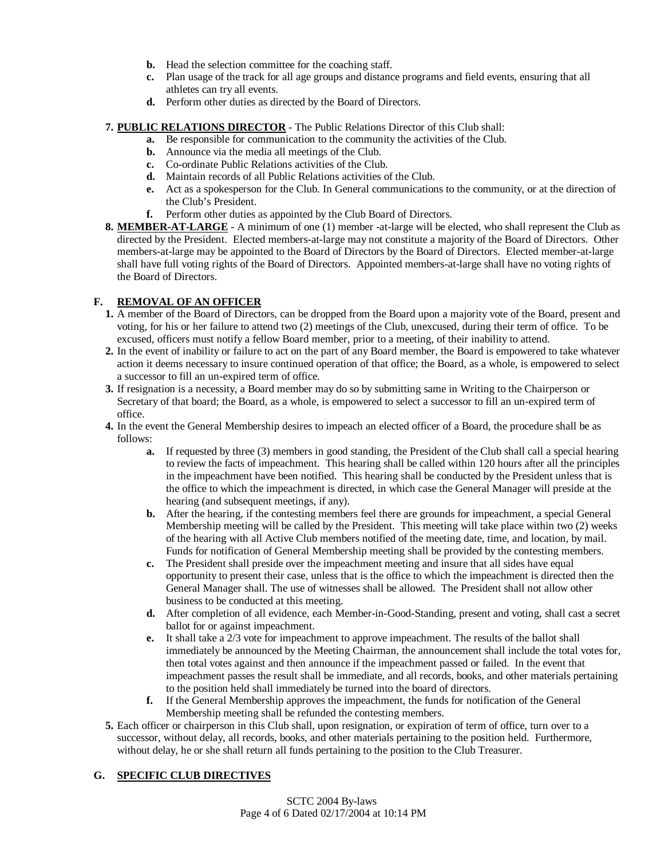- **b.** Head the selection committee for the coaching staff.
- **c.** Plan usage of the track for all age groups and distance programs and field events, ensuring that all athletes can try all events.
- **d.** Perform other duties as directed by the Board of Directors.

### **7. PUBLIC RELATIONS DIRECTOR** - The Public Relations Director of this Club shall:

- **a.** Be responsible for communication to the community the activities of the Club.
- **b.** Announce via the media all meetings of the Club.
- **c.** Co-ordinate Public Relations activities of the Club.
- **d.** Maintain records of all Public Relations activities of the Club.
- **e.** Act as a spokesperson for the Club. In General communications to the community, or at the direction of the Club's President.
- **f.** Perform other duties as appointed by the Club Board of Directors.
- **8. MEMBER-AT-LARGE** A minimum of one (1) member -at-large will be elected, who shall represent the Club as directed by the President. Elected members-at-large may not constitute a majority of the Board of Directors. Other members-at-large may be appointed to the Board of Directors by the Board of Directors. Elected member-at-large shall have full voting rights of the Board of Directors. Appointed members-at-large shall have no voting rights of the Board of Directors.

### **F. REMOVAL OF AN OFFICER**

- **1.** A member of the Board of Directors, can be dropped from the Board upon a majority vote of the Board, present and voting, for his or her failure to attend two (2) meetings of the Club, unexcused, during their term of office. To be excused, officers must notify a fellow Board member, prior to a meeting, of their inability to attend.
- **2.** In the event of inability or failure to act on the part of any Board member, the Board is empowered to take whatever action it deems necessary to insure continued operation of that office; the Board, as a whole, is empowered to select a successor to fill an un-expired term of office.
- **3.** If resignation is a necessity, a Board member may do so by submitting same in Writing to the Chairperson or Secretary of that board; the Board, as a whole, is empowered to select a successor to fill an un-expired term of office.
- **4.** In the event the General Membership desires to impeach an elected officer of a Board, the procedure shall be as follows:
	- **a.** If requested by three (3) members in good standing, the President of the Club shall call a special hearing to review the facts of impeachment. This hearing shall be called within 120 hours after all the principles in the impeachment have been notified. This hearing shall be conducted by the President unless that is the office to which the impeachment is directed, in which case the General Manager will preside at the hearing (and subsequent meetings, if any).
	- **b.** After the hearing, if the contesting members feel there are grounds for impeachment, a special General Membership meeting will be called by the President. This meeting will take place within two (2) weeks of the hearing with all Active Club members notified of the meeting date, time, and location, by mail. Funds for notification of General Membership meeting shall be provided by the contesting members.
	- **c.** The President shall preside over the impeachment meeting and insure that all sides have equal opportunity to present their case, unless that is the office to which the impeachment is directed then the General Manager shall. The use of witnesses shall be allowed. The President shall not allow other business to be conducted at this meeting.
	- **d.** After completion of all evidence, each Member-in-Good-Standing, present and voting, shall cast a secret ballot for or against impeachment.
	- **e.** It shall take a 2/3 vote for impeachment to approve impeachment. The results of the ballot shall immediately be announced by the Meeting Chairman, the announcement shall include the total votes for, then total votes against and then announce if the impeachment passed or failed. In the event that impeachment passes the result shall be immediate, and all records, books, and other materials pertaining to the position held shall immediately be turned into the board of directors.
	- **f.** If the General Membership approves the impeachment, the funds for notification of the General Membership meeting shall be refunded the contesting members.
- **5.** Each officer or chairperson in this Club shall, upon resignation, or expiration of term of office, turn over to a successor, without delay, all records, books, and other materials pertaining to the position held. Furthermore, without delay, he or she shall return all funds pertaining to the position to the Club Treasurer.

### **G. SPECIFIC CLUB DIRECTIVES**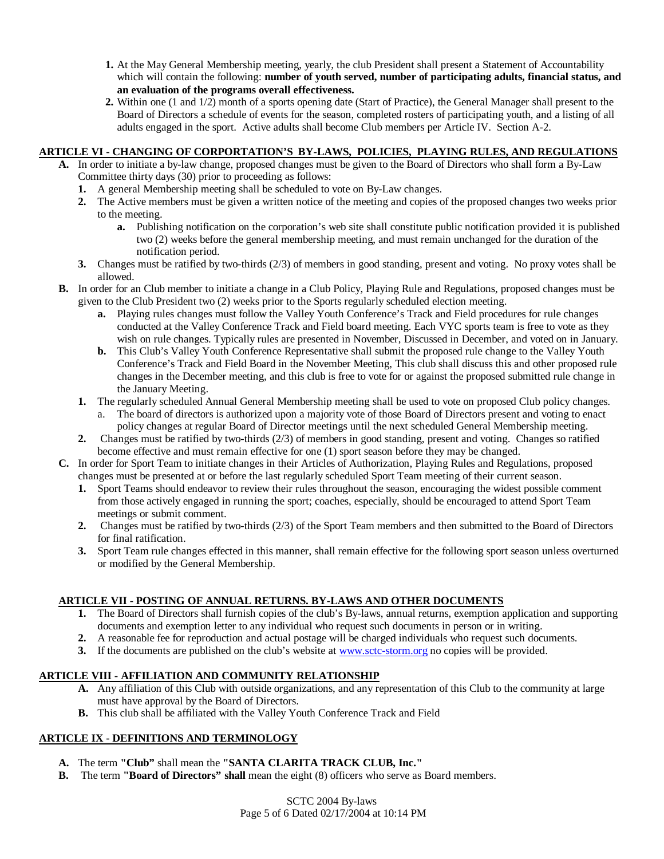- **1.** At the May General Membership meeting, yearly, the club President shall present a Statement of Accountability which will contain the following: **number of youth served, number of participating adults, financial status, and an evaluation of the programs overall effectiveness.**
- **2.** Within one (1 and 1/2) month of a sports opening date (Start of Practice), the General Manager shall present to the Board of Directors a schedule of events for the season, completed rosters of participating youth, and a listing of all adults engaged in the sport. Active adults shall become Club members per Article IV. Section A-2.

### **ARTICLE VI - CHANGING OF CORPORTATION'S BY-LAWS, POLICIES, PLAYING RULES, AND REGULATIONS**

- **A.** In order to initiate a by-law change, proposed changes must be given to the Board of Directors who shall form a By-Law Committee thirty days (30) prior to proceeding as follows:
	- **1.** A general Membership meeting shall be scheduled to vote on By-Law changes.
	- **2.** The Active members must be given a written notice of the meeting and copies of the proposed changes two weeks prior to the meeting.
		- **a.** Publishing notification on the corporation's web site shall constitute public notification provided it is published two (2) weeks before the general membership meeting, and must remain unchanged for the duration of the notification period.
	- **3.** Changes must be ratified by two-thirds (2/3) of members in good standing, present and voting. No proxy votes shall be allowed.
- **B.** In order for an Club member to initiate a change in a Club Policy, Playing Rule and Regulations, proposed changes must be given to the Club President two (2) weeks prior to the Sports regularly scheduled election meeting.
	- **a.** Playing rules changes must follow the Valley Youth Conference's Track and Field procedures for rule changes conducted at the Valley Conference Track and Field board meeting. Each VYC sports team is free to vote as they wish on rule changes. Typically rules are presented in November, Discussed in December, and voted on in January.
	- **b.** This Club's Valley Youth Conference Representative shall submit the proposed rule change to the Valley Youth Conference's Track and Field Board in the November Meeting, This club shall discuss this and other proposed rule changes in the December meeting, and this club is free to vote for or against the proposed submitted rule change in the January Meeting.
	- **1.** The regularly scheduled Annual General Membership meeting shall be used to vote on proposed Club policy changes.
		- a. The board of directors is authorized upon a majority vote of those Board of Directors present and voting to enact policy changes at regular Board of Director meetings until the next scheduled General Membership meeting.
	- **2.** Changes must be ratified by two-thirds (2/3) of members in good standing, present and voting. Changes so ratified become effective and must remain effective for one (1) sport season before they may be changed.
- **C.** In order for Sport Team to initiate changes in their Articles of Authorization, Playing Rules and Regulations, proposed changes must be presented at or before the last regularly scheduled Sport Team meeting of their current season.
	- **1.** Sport Teams should endeavor to review their rules throughout the season, encouraging the widest possible comment from those actively engaged in running the sport; coaches, especially, should be encouraged to attend Sport Team meetings or submit comment.
	- **2.** Changes must be ratified by two-thirds (2/3) of the Sport Team members and then submitted to the Board of Directors for final ratification.
	- **3.** Sport Team rule changes effected in this manner, shall remain effective for the following sport season unless overturned or modified by the General Membership.

### **ARTICLE VII - POSTING OF ANNUAL RETURNS. BY-LAWS AND OTHER DOCUMENTS**

- **1.** The Board of Directors shall furnish copies of the club's By-laws, annual returns, exemption application and supporting documents and exemption letter to any individual who request such documents in person or in writing.
- **2.** A reasonable fee for reproduction and actual postage will be charged individuals who request such documents.
- **3.** If the documents are published on the club's website at www.sctc-storm.org no copies will be provided.

### **ARTICLE VIII - AFFILIATION AND COMMUNITY RELATIONSHIP**

- **A.** Any affiliation of this Club with outside organizations, and any representation of this Club to the community at large must have approval by the Board of Directors.
- **B.** This club shall be affiliated with the Valley Youth Conference Track and Field

### **ARTICLE IX - DEFINITIONS AND TERMINOLOGY**

- **A.** The term **"Club"** shall mean the **"SANTA CLARITA TRACK CLUB, Inc."**
- **B.** The term **"Board of Directors" shall** mean the eight (8) officers who serve as Board members.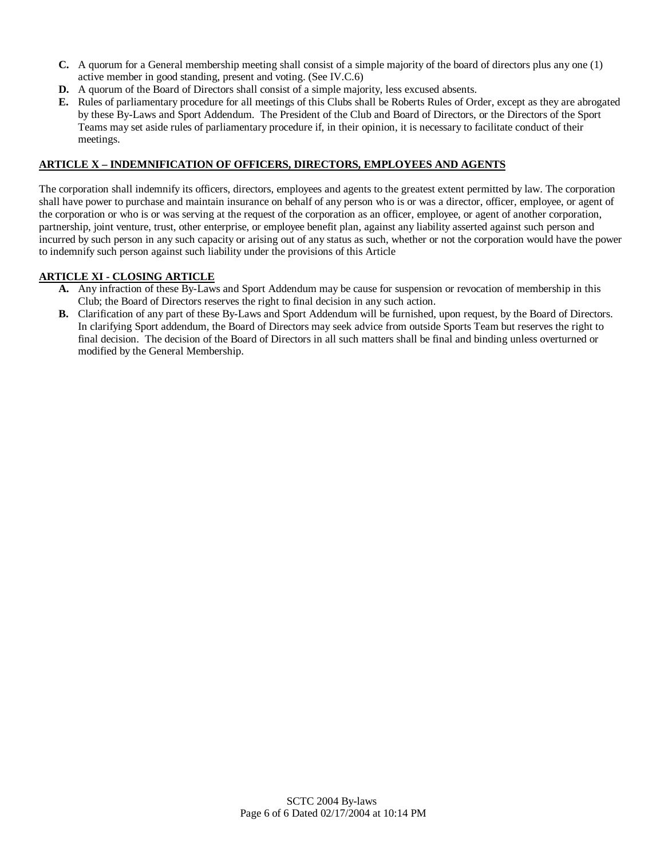- **C.** A quorum for a General membership meeting shall consist of a simple majority of the board of directors plus any one (1) active member in good standing, present and voting. (See IV.C.6)
- **D.** A quorum of the Board of Directors shall consist of a simple majority, less excused absents.
- **E.** Rules of parliamentary procedure for all meetings of this Clubs shall be Roberts Rules of Order, except as they are abrogated by these By-Laws and Sport Addendum. The President of the Club and Board of Directors, or the Directors of the Sport Teams may set aside rules of parliamentary procedure if, in their opinion, it is necessary to facilitate conduct of their meetings.

### **ARTICLE X – INDEMNIFICATION OF OFFICERS, DIRECTORS, EMPLOYEES AND AGENTS**

The corporation shall indemnify its officers, directors, employees and agents to the greatest extent permitted by law. The corporation shall have power to purchase and maintain insurance on behalf of any person who is or was a director, officer, employee, or agent of the corporation or who is or was serving at the request of the corporation as an officer, employee, or agent of another corporation, partnership, joint venture, trust, other enterprise, or employee benefit plan, against any liability asserted against such person and incurred by such person in any such capacity or arising out of any status as such, whether or not the corporation would have the power to indemnify such person against such liability under the provisions of this Article

### **ARTICLE XI - CLOSING ARTICLE**

- **A.** Any infraction of these By-Laws and Sport Addendum may be cause for suspension or revocation of membership in this Club; the Board of Directors reserves the right to final decision in any such action.
- **B.** Clarification of any part of these By-Laws and Sport Addendum will be furnished, upon request, by the Board of Directors. In clarifying Sport addendum, the Board of Directors may seek advice from outside Sports Team but reserves the right to final decision. The decision of the Board of Directors in all such matters shall be final and binding unless overturned or modified by the General Membership.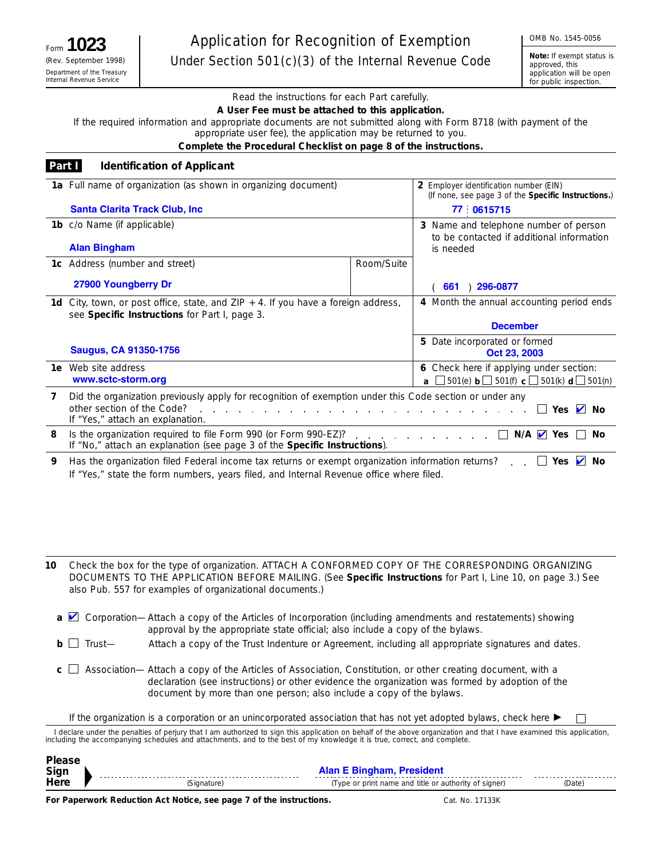**Note:** *If exempt status is approved, this application will be open for public inspection.*

Read the instructions for each Part carefully.

**A User Fee must be attached to this application.**

If the required information and appropriate documents are not submitted along with Form 8718 (with payment of the appropriate user fee), the application may be returned to you.

**Complete the Procedural Checklist on page 8 of the instructions.**

| Part I | <b>Identification of Applicant</b>                                                                                                                                        |            |                                                                                               |
|--------|---------------------------------------------------------------------------------------------------------------------------------------------------------------------------|------------|-----------------------------------------------------------------------------------------------|
|        | 1a Full name of organization (as shown in organizing document)                                                                                                            |            | 2 Employer identification number (EIN)<br>(If none, see page 3 of the Specific Instructions.) |
|        | <b>Santa Clarita Track Club, Inc.</b>                                                                                                                                     |            | 77 0615715                                                                                    |
|        | 1b c/o Name (if applicable)                                                                                                                                               |            | 3 Name and telephone number of person                                                         |
|        | <b>Alan Bingham</b>                                                                                                                                                       |            | to be contacted if additional information<br>is needed                                        |
|        | 1c Address (number and street)                                                                                                                                            | Room/Suite |                                                                                               |
|        | 27900 Youngberry Dr                                                                                                                                                       |            | 296-0877<br>661                                                                               |
|        | <b>1d</b> City, town, or post office, state, and $\mathsf{ZIP} + 4$ . If you have a foreign address,                                                                      |            | 4 Month the annual accounting period ends                                                     |
|        | see Specific Instructions for Part I, page 3.                                                                                                                             |            |                                                                                               |
|        |                                                                                                                                                                           |            | <b>December</b>                                                                               |
|        | <b>Saugus, CA 91350-1756</b>                                                                                                                                              |            | 5 Date incorporated or formed<br>Oct 23, 2003                                                 |
|        | <b>1e</b> Web site address                                                                                                                                                |            | 6 Check here if applying under section:                                                       |
|        | www.sctc-storm.org                                                                                                                                                        |            | <b>a</b> $\Box$ 501(e) <b>b</b> $\Box$ 501(f) <b>c</b> $\Box$ 501(k) <b>d</b> $\Box$ 501(n)   |
| 7      | Did the organization previously apply for recognition of exemption under this Code section or under any<br>other section of the Code?<br>If "Yes," attach an explanation. |            |                                                                                               |
| 8      | Is the organization required to file Form 990 (or Form 990-EZ)?<br>If "No," attach an explanation (see page 3 of the Specific Instructions).                              |            | $N/A$ $\vee$ Yes<br>No                                                                        |
| 9      | Has the organization filed Federal income tax returns or exempt organization information returns?                                                                         |            | Yes $\blacksquare$<br>No                                                                      |

If "Yes," state the form numbers, years filed, and Internal Revenue office where filed.

Check the box for the type of organization. ATTACH A CONFORMED COPY OF THE CORRESPONDING ORGANIZING DOCUMENTS TO THE APPLICATION BEFORE MAILING. (See **Specific Instructions** for Part I, Line 10, on page 3.) See also Pub. 557 for examples of organizational documents.) **10**

- **a** Corporation—Attach a copy of the Articles of Incorporation (including amendments and restatements) showing approval by the appropriate state official; also include a copy of the bylaws.
- **b**  $□$  Trust— Attach a copy of the Trust Indenture or Agreement, including all appropriate signatures and dates.
- **c** □ Association— Attach a copy of the Articles of Association, Constitution, or other creating document, with a declaration (see instructions) or other evidence the organization was formed by adoption of the document by more than one person; also include a copy of the bylaws.
	- If the organization is a corporation or an unincorporated association that has not yet adopted bylaws, check here  $\blacktriangleright$

I declare under the penalties of perjury that I am authorized to sign this application on behalf of the above organization and that I have examined this application, including the accompanying schedules and attachments, and to the best of my knowledge it is true, correct, and complete.

| <b>Pleas</b><br>Sign |            | Alan E Ringham<br>Desariala est                       |        |
|----------------------|------------|-------------------------------------------------------|--------|
| Here                 | signature; | (Type or print name and title or authority of signer) | (Date) |

**For Paperwork Reduction Act Notice, see page 7 of the instructions.**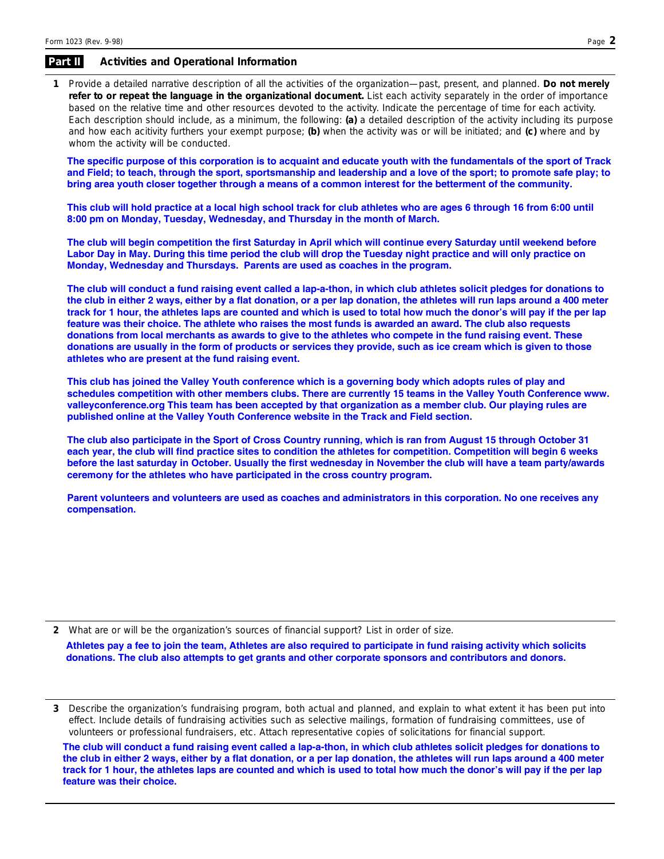#### **Activities and Operational Information Part II**

Provide a detailed narrative description of all the activities of the organization—past, present, and planned. **Do not merely 1 refer to or repeat the language in the organizational document.** List each activity separately in the order of importance based on the relative time and other resources devoted to the activity. Indicate the percentage of time for each activity. Each description should include, as a minimum, the following: **(a)** a detailed description of the activity including its purpose and how each acitivity furthers your exempt purpose; **(b)** when the activity was or will be initiated; and **(c)** where and by whom the activity will be conducted.

**The specific purpose of this corporation is to acquaint and educate youth with the fundamentals of the sport of Track and Field; to teach, through the sport, sportsmanship and leadership and a love of the sport; to promote safe play; to bring area youth closer together through a means of a common interest for the betterment of the community.**

**This club will hold practice at a local high school track for club athletes who are ages 6 through 16 from 6:00 until 8:00 pm on Monday, Tuesday, Wednesday, and Thursday in the month of March.** 

**The club will begin competition the first Saturday in April which will continue every Saturday until weekend before Labor Day in May. During this time period the club will drop the Tuesday night practice and will only practice on Monday, Wednesday and Thursdays. Parents are used as coaches in the program.** 

**The club will conduct a fund raising event called a lap-a-thon, in which club athletes solicit pledges for donations to the club in either 2 ways, either by a flat donation, or a per lap donation, the athletes will run laps around a 400 meter track for 1 hour, the athletes laps are counted and which is used to total how much the donor's will pay if the per lap feature was their choice. The athlete who raises the most funds is awarded an award. The club also requests donations from local merchants as awards to give to the athletes who compete in the fund raising event. These donations are usually in the form of products or services they provide, such as ice cream which is given to those athletes who are present at the fund raising event.**

**This club has joined the Valley Youth conference which is a governing body which adopts rules of play and schedules competition with other members clubs. There are currently 15 teams in the Valley Youth Conference www. valleyconference.org This team has been accepted by that organization as a member club. Our playing rules are published online at the Valley Youth Conference website in the Track and Field section.** 

**The club also participate in the Sport of Cross Country running, which is ran from August 15 through October 31 each year, the club will find practice sites to condition the athletes for competition. Competition will begin 6 weeks before the last saturday in October. Usually the first wednesday in November the club will have a team party/awards ceremony for the athletes who have participated in the cross country program.**

**Parent volunteers and volunteers are used as coaches and administrators in this corporation. No one receives any compensation.**

**2** What are or will be the organization's sources of financial support? List in order of size. **Athletes pay a fee to join the team, Athletes are also required to participate in fund raising activity which solicits donations. The club also attempts to get grants and other corporate sponsors and contributors and donors.**

**3** Describe the organization's fundraising program, both actual and planned, and explain to what extent it has been put into effect. Include details of fundraising activities such as selective mailings, formation of fundraising committees, use of volunteers or professional fundraisers, etc. Attach representative copies of solicitations for financial support.

**The club will conduct a fund raising event called a lap-a-thon, in which club athletes solicit pledges for donations to the club in either 2 ways, either by a flat donation, or a per lap donation, the athletes will run laps around a 400 meter track for 1 hour, the athletes laps are counted and which is used to total how much the donor's will pay if the per lap feature was their choice.**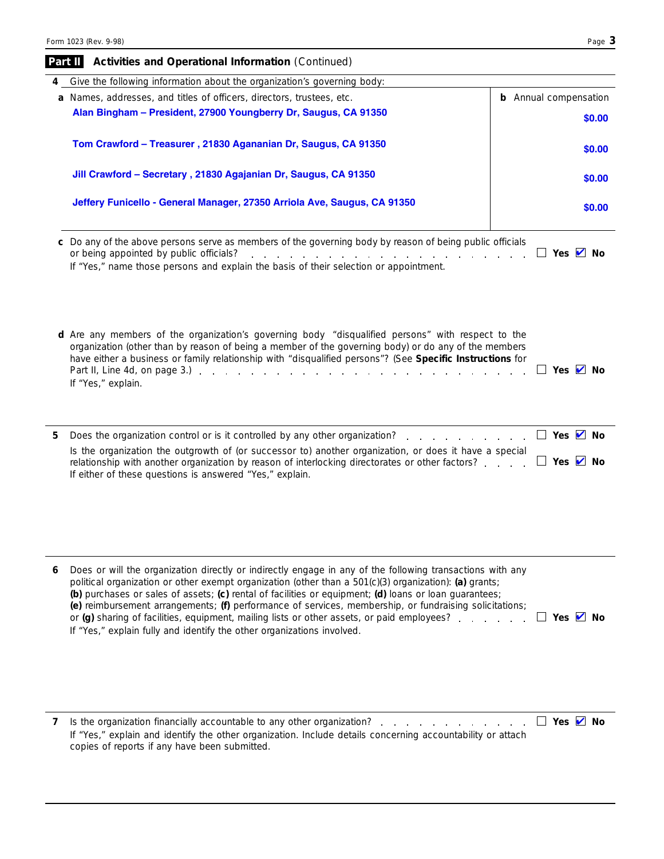|   | Give the following information about the organization's governing body:                                                                                                                                                                                                                                                                                                                                                                                                                                                                                                                                                               |                              |
|---|---------------------------------------------------------------------------------------------------------------------------------------------------------------------------------------------------------------------------------------------------------------------------------------------------------------------------------------------------------------------------------------------------------------------------------------------------------------------------------------------------------------------------------------------------------------------------------------------------------------------------------------|------------------------------|
|   | a Names, addresses, and titles of officers, directors, trustees, etc.                                                                                                                                                                                                                                                                                                                                                                                                                                                                                                                                                                 | <b>b</b> Annual compensation |
|   | Alan Bingham - President, 27900 Youngberry Dr, Saugus, CA 91350                                                                                                                                                                                                                                                                                                                                                                                                                                                                                                                                                                       | \$0.00                       |
|   | Tom Crawford - Treasurer, 21830 Agananian Dr, Saugus, CA 91350                                                                                                                                                                                                                                                                                                                                                                                                                                                                                                                                                                        | \$0.00                       |
|   | Jill Crawford - Secretary, 21830 Agajanian Dr, Saugus, CA 91350                                                                                                                                                                                                                                                                                                                                                                                                                                                                                                                                                                       | \$0.00                       |
|   | Jeffery Funicello - General Manager, 27350 Arriola Ave, Saugus, CA 91350                                                                                                                                                                                                                                                                                                                                                                                                                                                                                                                                                              | \$0.00                       |
|   | c Do any of the above persons serve as members of the governing body by reason of being public officials<br>or being appointed by public officials?<br>المنافذ والمنافي والمنافي والمنافي والمنافي والمنافي والمنافي والمنافي والمنافي<br>If "Yes," name those persons and explain the basis of their selection or appointment.                                                                                                                                                                                                                                                                                                       | □ Yes Ø No                   |
|   | d Are any members of the organization's governing body "disqualified persons" with respect to the<br>organization (other than by reason of being a member of the governing body) or do any of the members<br>have either a business or family relationship with "disqualified persons"? (See Specific Instructions for<br>Part II, Line 4d, on page 3.) $\ldots$ $\ldots$ $\ldots$ $\ldots$ $\ldots$ $\ldots$ $\ldots$ $\ldots$ $\ldots$<br>If "Yes," explain.                                                                                                                                                                        | Yes $\vee$ No                |
| 5 |                                                                                                                                                                                                                                                                                                                                                                                                                                                                                                                                                                                                                                       | □ Yes Ø No                   |
|   | Is the organization the outgrowth of (or successor to) another organization, or does it have a special<br>relationship with another organization by reason of interlocking directorates or other factors?<br>If either of these questions is answered "Yes," explain.                                                                                                                                                                                                                                                                                                                                                                 | $\Box$ Yes $\Box$ No         |
|   |                                                                                                                                                                                                                                                                                                                                                                                                                                                                                                                                                                                                                                       |                              |
| 6 | Does or will the organization directly or indirectly engage in any of the following transactions with any<br>political organization or other exempt organization (other than a 501(c)(3) organization): (a) grants;<br>(b) purchases or sales of assets; (c) rental of facilities or equipment; (d) loans or loan guarantees;<br>(e) reimbursement arrangements; (f) performance of services, membership, or fundraising solicitations;<br>or (g) sharing of facilities, equipment, mailing lists or other assets, or paid employees? Yes $\blacksquare$ No<br>If "Yes," explain fully and identify the other organizations involved. |                              |
| 7 | Is the organization financially accountable to any other organization? $\Box$ Yes $\Box$ No<br>If "Yes," explain and identify the other organization. Include details concerning accountability or attach                                                                                                                                                                                                                                                                                                                                                                                                                             |                              |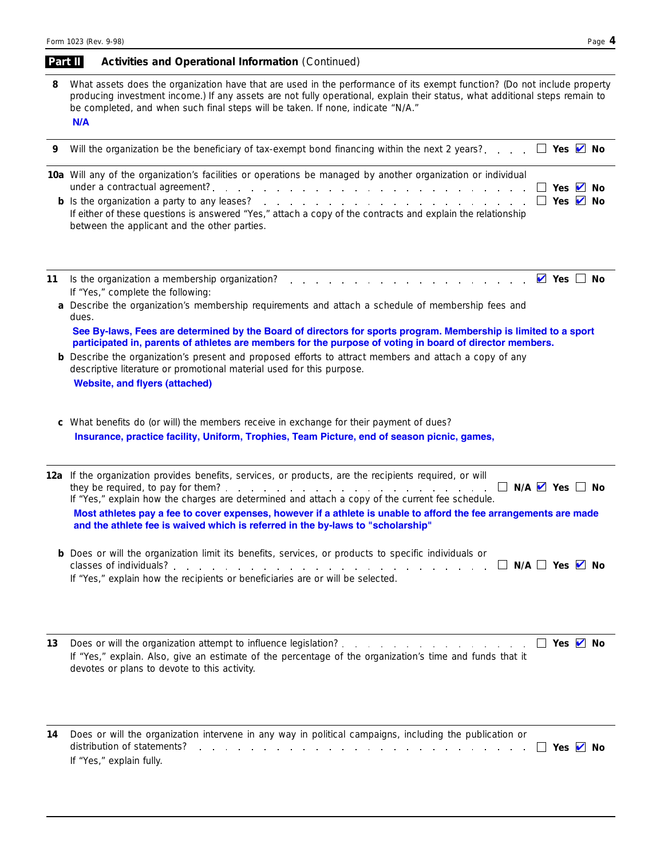#### **Activities and Operational Information** *( Continued)* **Part II**

| 8  | What assets does the organization have that are used in the performance of its exempt function? (Do not include property<br>producing investment income.) If any assets are not fully operational, explain their status, what additional steps remain to<br>be completed, and when such final steps will be taken. If none, indicate "N/A."<br>N/A                                                                                                                                                                                                                                                                                         |  |  |  |  |  |
|----|--------------------------------------------------------------------------------------------------------------------------------------------------------------------------------------------------------------------------------------------------------------------------------------------------------------------------------------------------------------------------------------------------------------------------------------------------------------------------------------------------------------------------------------------------------------------------------------------------------------------------------------------|--|--|--|--|--|
| 9  | Will the organization be the beneficiary of tax-exempt bond financing within the next 2 years? $\Box$ Yes $\Box$ No                                                                                                                                                                                                                                                                                                                                                                                                                                                                                                                        |  |  |  |  |  |
|    | 10a Will any of the organization's facilities or operations be managed by another organization or individual<br>$\Box$ Yes $\Box$ No<br>$\Box$ Yes $\angle$ No<br>If either of these questions is answered "Yes," attach a copy of the contracts and explain the relationship<br>between the applicant and the other parties.                                                                                                                                                                                                                                                                                                              |  |  |  |  |  |
| 11 | $\vee$ Yes $\Box$ No<br>If "Yes," complete the following:<br>a Describe the organization's membership requirements and attach a schedule of membership fees and<br>dues.<br>See By-laws, Fees are determined by the Board of directors for sports program. Membership is limited to a sport<br>participated in, parents of athletes are members for the purpose of voting in board of director members.<br><b>b</b> Describe the organization's present and proposed efforts to attract members and attach a copy of any<br>descriptive literature or promotional material used for this purpose.<br><b>Website, and flyers (attached)</b> |  |  |  |  |  |
|    | c What benefits do (or will) the members receive in exchange for their payment of dues?<br>Insurance, practice facility, Uniform, Trophies, Team Picture, end of season picnic, games,                                                                                                                                                                                                                                                                                                                                                                                                                                                     |  |  |  |  |  |
|    | 12a If the organization provides benefits, services, or products, are the recipients required, or will<br>$\Box$ N/A $\vee$ Yes $\Box$ No<br>If "Yes," explain how the charges are determined and attach a copy of the current fee schedule.<br>Most athletes pay a fee to cover expenses, however if a athlete is unable to afford the fee arrangements are made<br>and the athlete fee is waived which is referred in the by-laws to "scholarship"                                                                                                                                                                                       |  |  |  |  |  |
|    | <b>b</b> Does or will the organization limit its benefits, services, or products to specific individuals or<br>If "Yes," explain how the recipients or beneficiaries are or will be selected.                                                                                                                                                                                                                                                                                                                                                                                                                                              |  |  |  |  |  |
| 13 | $\Box$ Yes $\Box$ No<br>If "Yes," explain. Also, give an estimate of the percentage of the organization's time and funds that it<br>devotes or plans to devote to this activity.                                                                                                                                                                                                                                                                                                                                                                                                                                                           |  |  |  |  |  |

Does or will the organization intervene in any way in political campaigns, including the publication or distribution of statements? **Yes No** ✔**14** If "Yes," explain fully.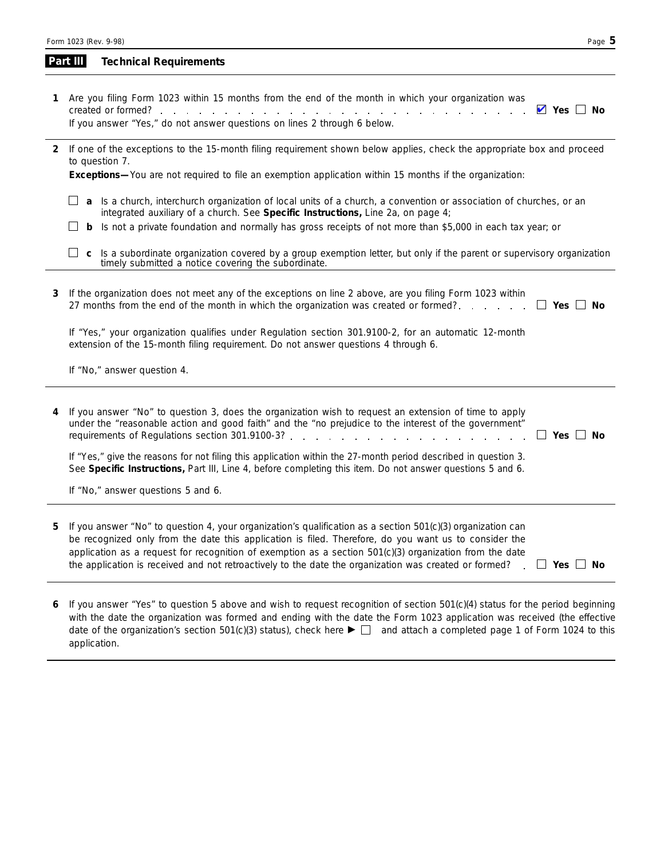| Part III | <b>Technical Requirements</b> |
|----------|-------------------------------|
|          |                               |

- **Yes No** ✔Are you filing Form 1023 within 15 months from the end of the month in which your organization was **1** created or formed? If you answer "Yes," do not answer questions on lines 2 through 6 below.
- If one of the exceptions to the 15-month filing requirement shown below applies, check the appropriate box and proceed **2** to question 7.

**Exceptions—**You are not required to file an exemption application within 15 months if the organization:

- **a** Is a church, interchurch organization of local units of a church, a convention or association of churches, or an integrated auxiliary of a church. See **Specific Instructions,** Line 2a, on page 4;
- **b** Is not a private foundation and normally has gross receipts of not more than \$5,000 in each tax year; or
- □ c Is a subordinate organization covered by a group exemption letter, but only if the parent or supervisory organization timely submitted a notice covering the subordinate.

| 3 | If the organization does not meet any of the exceptions on line 2 above, are you filing Form 1023 within<br>27 months from the end of the month in which the organization was created or formed?                                                                                                                                                                                                                                           |                             |  |  |
|---|--------------------------------------------------------------------------------------------------------------------------------------------------------------------------------------------------------------------------------------------------------------------------------------------------------------------------------------------------------------------------------------------------------------------------------------------|-----------------------------|--|--|
|   | If "Yes," your organization qualifies under Regulation section 301.9100-2, for an automatic 12-month<br>extension of the 15-month filing requirement. Do not answer questions 4 through 6.                                                                                                                                                                                                                                                 |                             |  |  |
|   | If "No," answer question 4.                                                                                                                                                                                                                                                                                                                                                                                                                |                             |  |  |
|   |                                                                                                                                                                                                                                                                                                                                                                                                                                            |                             |  |  |
|   | 4 If you answer "No" to question 3, does the organization wish to request an extension of time to apply<br>under the "reasonable action and good faith" and the "no prejudice to the interest of the government"                                                                                                                                                                                                                           | Yes  <br>No                 |  |  |
|   | If "Yes," give the reasons for not filing this application within the 27-month period described in question 3.<br>See Specific Instructions, Part III, Line 4, before completing this item. Do not answer questions 5 and 6.                                                                                                                                                                                                               |                             |  |  |
|   | If "No," answer questions 5 and 6.                                                                                                                                                                                                                                                                                                                                                                                                         |                             |  |  |
|   |                                                                                                                                                                                                                                                                                                                                                                                                                                            |                             |  |  |
| 5 | If you answer "No" to question 4, your organization's qualification as a section 501(c)(3) organization can<br>be recognized only from the date this application is filed. Therefore, do you want us to consider the<br>application as a request for recognition of exemption as a section $501(c)(3)$ organization from the date<br>the application is received and not retroactively to the date the organization was created or formed? | Yes  <br>No<br>$\mathbf{L}$ |  |  |

**6** If you answer "Yes" to question 5 above and wish to request recognition of section 501(c)(4) status for the period beginning with the date the organization was formed and ending with the date the Form 1023 application was received (the effective date of the organization's section 501(c)(3) status), check here  $\blacktriangleright \square$  and attach a completed page 1 of Form 1024 to this application.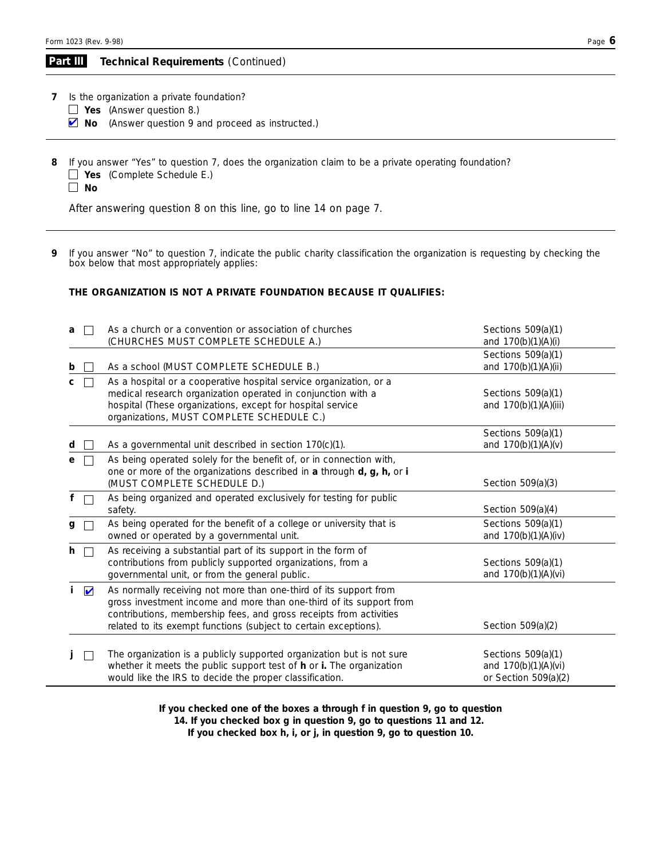#### **Technical Requirements** *( Continued)* **Part III**

**7** Is the organization a private foundation?

- **Yes** (Answer question 8.)
- **No** (Answer question 9 and proceed as instructed.)
- **8** If you answer "Yes" to question 7, does the organization claim to be a private operating foundation? **Yes** (Complete Schedule E.)

**No**

After answering question 8 on this line, go to line 14 on page 7.

If you answer "No" to question 7, indicate the public charity classification the organization is requesting by checking the box below that most appropriately applies: **9**

### **THE ORGANIZATION IS NOT A PRIVATE FOUNDATION BECAUSE IT QUALIFIES:**

| a              | $\mathbf{L}$         | As a church or a convention or association of churches                | Sections $509(a)(1)$   |
|----------------|----------------------|-----------------------------------------------------------------------|------------------------|
|                |                      | (CHURCHES MUST COMPLETE SCHEDULE A.)                                  | and 170(b)(1)(A)(i)    |
|                |                      |                                                                       | Sections 509(a)(1)     |
| b              |                      | As a school (MUST COMPLETE SCHEDULE B.)                               | and 170(b)(1)(A)(ii)   |
| c              |                      | As a hospital or a cooperative hospital service organization, or a    |                        |
|                |                      | medical research organization operated in conjunction with a          | Sections $509(a)(1)$   |
|                |                      | hospital (These organizations, except for hospital service            | and 170(b)(1)(A)(iii)  |
|                |                      | organizations, MUST COMPLETE SCHEDULE C.)                             |                        |
|                |                      |                                                                       | Sections 509(a)(1)     |
| d              |                      | As a governmental unit described in section 170(c)(1).                | and 170(b)(1)(A)(v)    |
|                |                      | As being operated solely for the benefit of, or in connection with,   |                        |
|                |                      | one or more of the organizations described in a through d, g, h, or i |                        |
|                |                      | (MUST COMPLETE SCHEDULE D.)                                           | Section 509(a)(3)      |
|                |                      |                                                                       |                        |
|                |                      | As being organized and operated exclusively for testing for public    |                        |
|                |                      | safety.                                                               | Section 509(a)(4)      |
| $\mathsf{g}\,$ | $\Box$               | As being operated for the benefit of a college or university that is  | Sections 509(a)(1)     |
|                |                      | owned or operated by a governmental unit.                             | and 170(b)(1)(A)(iv)   |
| h              | $\Box$               | As receiving a substantial part of its support in the form of         |                        |
|                |                      | contributions from publicly supported organizations, from a           | Sections 509(a)(1)     |
|                |                      | governmental unit, or from the general public.                        | and 170(b)(1)(A)(vi)   |
| İ.             | $\blacktriangledown$ | As normally receiving not more than one-third of its support from     |                        |
|                |                      | gross investment income and more than one-third of its support from   |                        |
|                |                      | contributions, membership fees, and gross receipts from activities    |                        |
|                |                      | related to its exempt functions (subject to certain exceptions).      | Section 509(a)(2)      |
|                |                      |                                                                       |                        |
|                |                      | The organization is a publicly supported organization but is not sure | Sections 509(a)(1)     |
|                |                      | whether it meets the public support test of h or i. The organization  | and $170(b)(1)(A)(vi)$ |
|                |                      | would like the IRS to decide the proper classification.               | or Section $509(a)(2)$ |
|                |                      |                                                                       |                        |

**If you checked one of the boxes a through f in question 9, go to question 14. If you checked box g in question 9, go to questions 11 and 12.** 

**If you checked box h, i, or j, in question 9, go to question 10.**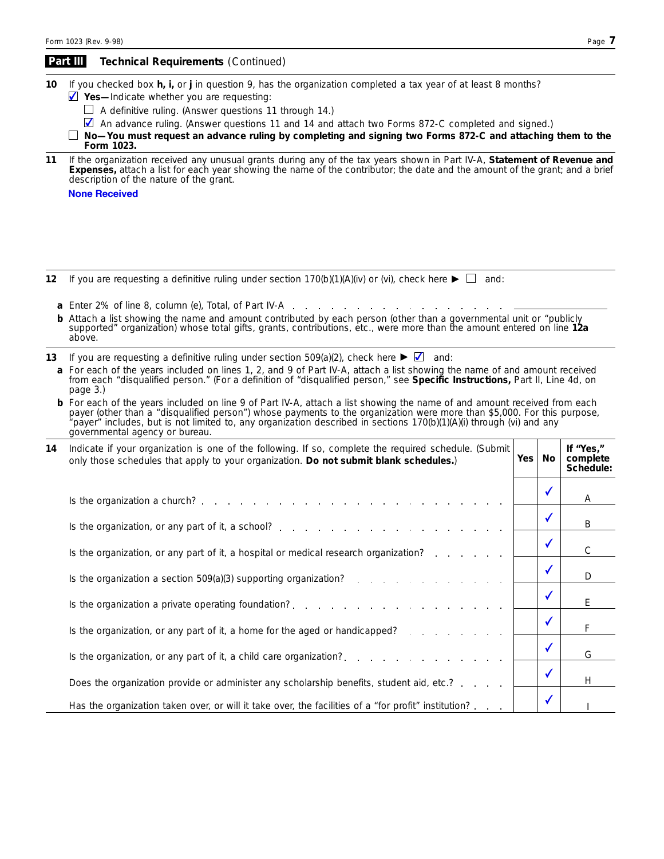|    | Part III                                                                                                                                                                                                                                                                                                                                                                                                             | Technical Requirements (Continued)                                                                                                                                                                                                                                                                                                                                                                                                                                      |     |              |                                    |
|----|----------------------------------------------------------------------------------------------------------------------------------------------------------------------------------------------------------------------------------------------------------------------------------------------------------------------------------------------------------------------------------------------------------------------|-------------------------------------------------------------------------------------------------------------------------------------------------------------------------------------------------------------------------------------------------------------------------------------------------------------------------------------------------------------------------------------------------------------------------------------------------------------------------|-----|--------------|------------------------------------|
| 10 |                                                                                                                                                                                                                                                                                                                                                                                                                      | If you checked box h, i, or j in question 9, has the organization completed a tax year of at least 8 months?<br>$\blacksquare$ Yes—Indicate whether you are requesting:<br>$\Box$ A definitive ruling. (Answer questions 11 through 14.)<br>An advance ruling. (Answer questions 11 and 14 and attach two Forms 872-C completed and signed.)<br>No-You must request an advance ruling by completing and signing two Forms 872-C and attaching them to the<br>Form 1023. |     |              |                                    |
| 11 |                                                                                                                                                                                                                                                                                                                                                                                                                      | If the organization received any unusual grants during any of the tax years shown in Part IV-A, Statement of Revenue and Expenses, attach a list for each year showing the name of the contributor; the date and the amount of<br>description of the nature of the grant.<br><b>None Received</b>                                                                                                                                                                       |     |              |                                    |
| 12 |                                                                                                                                                                                                                                                                                                                                                                                                                      | If you are requesting a definitive ruling under section 170(b)(1)(A)(iv) or (vi), check here $\blacktriangleright \Box$ and:                                                                                                                                                                                                                                                                                                                                            |     |              |                                    |
|    | above.                                                                                                                                                                                                                                                                                                                                                                                                               | <b>a</b> Enter 2% of line 8, column (e), Total, of Part IV-A.<br><b>b</b> Attach a list showing the name and amount contributed by each person (other than a governmental unit or "publicly<br>supported" organization) whose total gifts, grants, contributions, etc., were more than the amount entered on line 12a                                                                                                                                                   |     |              |                                    |
| 13 |                                                                                                                                                                                                                                                                                                                                                                                                                      | If you are requesting a definitive ruling under section $509(a)(2)$ , check here $\blacktriangleright \blacktriangleright$ and:                                                                                                                                                                                                                                                                                                                                         |     |              |                                    |
|    | a For each of the years included on lines 1, 2, and 9 of Part IV-A, attach a list showing the name of and amount received<br>from each "disqualified person." (For a definition of "disqualified person," see Specific Instructions, Part II, Line 4d, on<br>page 3.)                                                                                                                                                |                                                                                                                                                                                                                                                                                                                                                                                                                                                                         |     |              |                                    |
|    | <b>b</b> For each of the years included on line 9 of Part IV-A, attach a list showing the name of and amount received from each<br>payer (other than a "disqualified person") whose payments to the organization were more than \$5,000. For this purpose,<br>payer" includes, but is not limited to, any organization described in sections 170(b)(1)(A)(i) through (vi) and any"<br>governmental agency or bureau. |                                                                                                                                                                                                                                                                                                                                                                                                                                                                         |     |              |                                    |
| 14 |                                                                                                                                                                                                                                                                                                                                                                                                                      | Indicate if your organization is one of the following. If so, complete the required schedule. (Submit<br>only those schedules that apply to your organization. Do not submit blank schedules.)                                                                                                                                                                                                                                                                          | Yes | No.          | If "Yes,"<br>complete<br>Schedule: |
|    |                                                                                                                                                                                                                                                                                                                                                                                                                      |                                                                                                                                                                                                                                                                                                                                                                                                                                                                         |     | ✔            |                                    |
|    |                                                                                                                                                                                                                                                                                                                                                                                                                      | Is the organization a church?                                                                                                                                                                                                                                                                                                                                                                                                                                           |     |              | Α                                  |
|    |                                                                                                                                                                                                                                                                                                                                                                                                                      | Is the organization, or any part of it, a school?                                                                                                                                                                                                                                                                                                                                                                                                                       |     | $\checkmark$ | B                                  |
|    |                                                                                                                                                                                                                                                                                                                                                                                                                      | Is the organization, or any part of it, a hospital or medical research organization?                                                                                                                                                                                                                                                                                                                                                                                    |     |              | С                                  |
|    |                                                                                                                                                                                                                                                                                                                                                                                                                      |                                                                                                                                                                                                                                                                                                                                                                                                                                                                         |     | $\checkmark$ |                                    |
|    |                                                                                                                                                                                                                                                                                                                                                                                                                      | Is the organization a section $509(a)(3)$ supporting organization?                                                                                                                                                                                                                                                                                                                                                                                                      |     |              | D                                  |
|    |                                                                                                                                                                                                                                                                                                                                                                                                                      |                                                                                                                                                                                                                                                                                                                                                                                                                                                                         |     | $\checkmark$ | Е                                  |
|    |                                                                                                                                                                                                                                                                                                                                                                                                                      | Is the organization, or any part of it, a home for the aged or handicapped? $\ldots$ , $\ldots$                                                                                                                                                                                                                                                                                                                                                                         |     | $\checkmark$ | F                                  |
|    |                                                                                                                                                                                                                                                                                                                                                                                                                      | Is the organization, or any part of it, a child care organization?                                                                                                                                                                                                                                                                                                                                                                                                      |     | $\checkmark$ | G                                  |
|    |                                                                                                                                                                                                                                                                                                                                                                                                                      |                                                                                                                                                                                                                                                                                                                                                                                                                                                                         |     | $\checkmark$ |                                    |
|    |                                                                                                                                                                                                                                                                                                                                                                                                                      | Does the organization provide or administer any scholarship benefits, student aid, etc.?                                                                                                                                                                                                                                                                                                                                                                                |     |              | Н.                                 |
|    |                                                                                                                                                                                                                                                                                                                                                                                                                      | Has the organization taken over, or will it take over, the facilities of a "for profit" institution?.                                                                                                                                                                                                                                                                                                                                                                   |     | $\checkmark$ |                                    |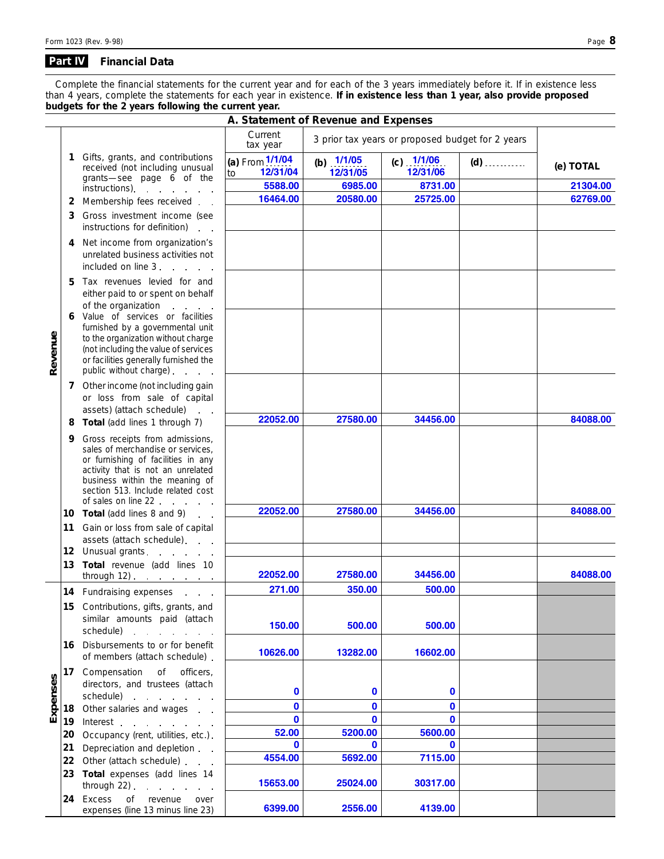#### **Financial Data Part IV**

*Complete the financial statements for the current year and for each of the 3 years immediately before it. If in existence less than 4 years, complete the statements for each year in existence.* **If in existence less than 1 year, also provide proposed budgets for the 2 years following the current year.**

|          | A. Statement of Revenue and Expenses                                    |                                                                                                                                                                                                                                               |                                   |                          |                          |       |           |
|----------|-------------------------------------------------------------------------|-----------------------------------------------------------------------------------------------------------------------------------------------------------------------------------------------------------------------------------------------|-----------------------------------|--------------------------|--------------------------|-------|-----------|
|          | Current<br>3 prior tax years or proposed budget for 2 years<br>tax year |                                                                                                                                                                                                                                               |                                   |                          |                          |       |           |
|          | 1                                                                       | Gifts, grants, and contributions<br>received (not including unusual                                                                                                                                                                           | (a) From 1/1/04<br>12/31/04<br>to | (b) $1/1/05$<br>12/31/05 | (c) $1/1/06$<br>12/31/06 | $(d)$ | (e) TOTAL |
|          |                                                                         | grants-see page 6 of the<br>instructions) intervals and the set of the set of the set of the set of the set of the set of the set of the s                                                                                                    | 5588.00                           | 6985.00                  | 8731.00                  |       | 21304.00  |
|          |                                                                         |                                                                                                                                                                                                                                               | 16464.00                          | 20580.00                 | 25725.00                 |       | 62769.00  |
|          | 2                                                                       | Membership fees received                                                                                                                                                                                                                      |                                   |                          |                          |       |           |
|          | 3                                                                       | Gross investment income (see<br>instructions for definition)<br>$\mathbf{r}$                                                                                                                                                                  |                                   |                          |                          |       |           |
|          | 4                                                                       | Net income from organization's<br>unrelated business activities not<br>included on line 3                                                                                                                                                     |                                   |                          |                          |       |           |
|          | 5                                                                       | Tax revenues levied for and<br>either paid to or spent on behalf                                                                                                                                                                              |                                   |                          |                          |       |           |
| Revenue  | 6                                                                       | of the organization<br>Value of services or facilities<br>furnished by a governmental unit<br>to the organization without charge<br>(not including the value of services<br>or facilities generally furnished the                             |                                   |                          |                          |       |           |
|          |                                                                         | public without charge)                                                                                                                                                                                                                        |                                   |                          |                          |       |           |
|          |                                                                         | 7 Other income (not including gain<br>or loss from sale of capital                                                                                                                                                                            |                                   |                          |                          |       |           |
|          |                                                                         | assets) (attach schedule)<br>Total (add lines 1 through 7)                                                                                                                                                                                    | 22052.00                          | 27580.00                 | 34456.00                 |       | 84088.00  |
|          | 8                                                                       |                                                                                                                                                                                                                                               |                                   |                          |                          |       |           |
|          | 9                                                                       | Gross receipts from admissions,<br>sales of merchandise or services.<br>or furnishing of facilities in any<br>activity that is not an unrelated<br>business within the meaning of<br>section 513. Include related cost<br>of sales on line 22 |                                   |                          |                          |       |           |
|          |                                                                         | 10 Total (add lines 8 and 9).                                                                                                                                                                                                                 | 22052.00                          | 27580.00                 | 34456.00                 |       | 84088.00  |
|          | 11                                                                      | Gain or loss from sale of capital                                                                                                                                                                                                             |                                   |                          |                          |       |           |
|          |                                                                         | assets (attach schedule).                                                                                                                                                                                                                     |                                   |                          |                          |       |           |
|          | 12                                                                      | Unusual grants                                                                                                                                                                                                                                |                                   |                          |                          |       |           |
|          | 13                                                                      | Total revenue (add lines 10                                                                                                                                                                                                                   | 22052.00                          | 27580.00                 | 34456.00                 |       | 84088.00  |
|          |                                                                         | 14 Fundraising expenses                                                                                                                                                                                                                       | 271.00                            | 350.00                   | 500.00                   |       |           |
|          |                                                                         |                                                                                                                                                                                                                                               |                                   |                          |                          |       |           |
|          |                                                                         | 15 Contributions, gifts, grants, and<br>similar amounts paid (attach<br>schedule) and the schedule                                                                                                                                            | 150.00                            | 500.00                   | 500.00                   |       |           |
|          |                                                                         | 16 Disbursements to or for benefit<br>of members (attach schedule).                                                                                                                                                                           | 10626.00                          | 13282.00                 | 16602.00                 |       |           |
| Expenses |                                                                         | 17 Compensation of officers,<br>directors, and trustees (attach                                                                                                                                                                               | $\bf{0}$                          | 0                        | 0                        |       |           |
|          |                                                                         | schedule) and the schedule of the set of the set of the set of the set of the set of the set of the set of the                                                                                                                                | $\mathbf{0}$                      |                          |                          |       |           |
|          | 18                                                                      | Other salaries and wages                                                                                                                                                                                                                      |                                   | 0                        | $\bf{0}$                 |       |           |
|          | 19                                                                      | Interest the contract of the contract of the contract of the contract of the contract of the contract of the contract of the contract of the contract of the contract of the contract of the contract of the contract of the c                | $\mathbf{0}$                      | $\mathbf{0}$             | $\bf{0}$                 |       |           |
|          | 20                                                                      | Occupancy (rent, utilities, etc.).                                                                                                                                                                                                            | 52.00                             | 5200.00                  | 5600.00                  |       |           |
|          | 21                                                                      | Depreciation and depletion                                                                                                                                                                                                                    | $\mathbf{0}$                      | $\mathbf{0}$             | $\bf{0}$                 |       |           |
|          |                                                                         | 22 Other (attach schedule)                                                                                                                                                                                                                    | 4554.00                           | 5692.00                  | 7115.00                  |       |           |
|          |                                                                         | 23 Total expenses (add lines 14<br>through $22$ ) $\cdots$ $\cdots$                                                                                                                                                                           | 15653.00                          | 25024.00                 | 30317.00                 |       |           |
|          | 24                                                                      | Excess<br>of revenue<br>over<br>expenses (line 13 minus line 23)                                                                                                                                                                              | 6399.00                           | 2556.00                  | 4139.00                  |       |           |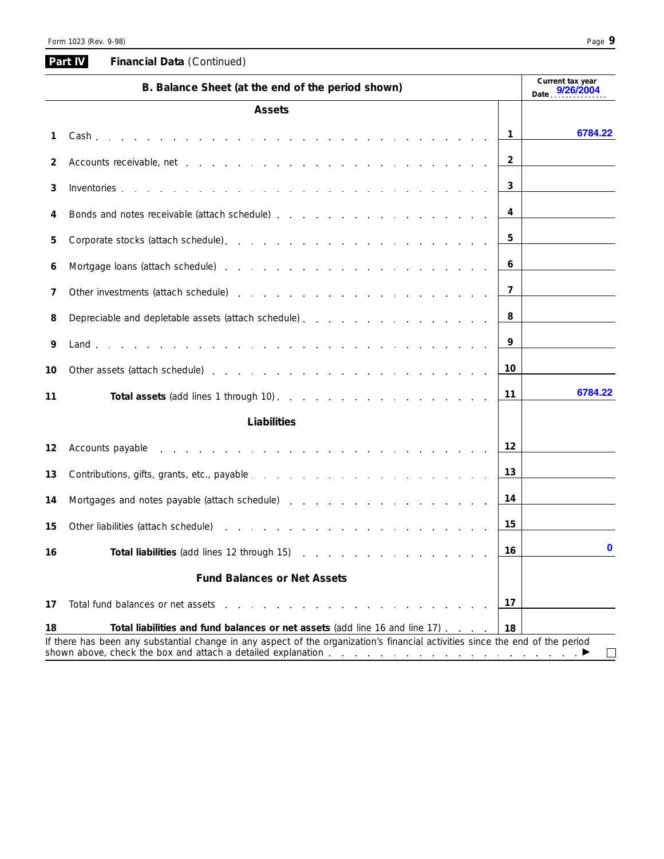| Date 9/26/2004<br><b>Assets</b><br>-1<br>1<br>2<br>2<br>3<br>3<br>4<br>Bonds and notes receivable (attach schedule) expansion and contact the state of the schedule of the state of the state of the state of the state of the state of the state of the state of the state of the state of the state<br>4<br>5<br>5<br>6<br>Mortgage loans (attach schedule) entering a series and a series and a series and a series and a series of the<br>6<br>7<br>Other investments (attach schedule) expansion and a series and a series of the schedule of the series of the series of the series of the series of the series of the series of the series of the series of the series of the s<br>7<br>8<br>Depreciable and depletable assets (attach schedule)<br>8<br>9<br>9<br>10<br>10<br>11<br>11<br>Liabilities<br>12<br>12<br>Accounts payable | 6784.22  |
|-----------------------------------------------------------------------------------------------------------------------------------------------------------------------------------------------------------------------------------------------------------------------------------------------------------------------------------------------------------------------------------------------------------------------------------------------------------------------------------------------------------------------------------------------------------------------------------------------------------------------------------------------------------------------------------------------------------------------------------------------------------------------------------------------------------------------------------------------|----------|
|                                                                                                                                                                                                                                                                                                                                                                                                                                                                                                                                                                                                                                                                                                                                                                                                                                               |          |
|                                                                                                                                                                                                                                                                                                                                                                                                                                                                                                                                                                                                                                                                                                                                                                                                                                               |          |
|                                                                                                                                                                                                                                                                                                                                                                                                                                                                                                                                                                                                                                                                                                                                                                                                                                               |          |
|                                                                                                                                                                                                                                                                                                                                                                                                                                                                                                                                                                                                                                                                                                                                                                                                                                               |          |
|                                                                                                                                                                                                                                                                                                                                                                                                                                                                                                                                                                                                                                                                                                                                                                                                                                               |          |
|                                                                                                                                                                                                                                                                                                                                                                                                                                                                                                                                                                                                                                                                                                                                                                                                                                               |          |
|                                                                                                                                                                                                                                                                                                                                                                                                                                                                                                                                                                                                                                                                                                                                                                                                                                               |          |
|                                                                                                                                                                                                                                                                                                                                                                                                                                                                                                                                                                                                                                                                                                                                                                                                                                               |          |
|                                                                                                                                                                                                                                                                                                                                                                                                                                                                                                                                                                                                                                                                                                                                                                                                                                               |          |
|                                                                                                                                                                                                                                                                                                                                                                                                                                                                                                                                                                                                                                                                                                                                                                                                                                               |          |
|                                                                                                                                                                                                                                                                                                                                                                                                                                                                                                                                                                                                                                                                                                                                                                                                                                               |          |
|                                                                                                                                                                                                                                                                                                                                                                                                                                                                                                                                                                                                                                                                                                                                                                                                                                               |          |
|                                                                                                                                                                                                                                                                                                                                                                                                                                                                                                                                                                                                                                                                                                                                                                                                                                               |          |
|                                                                                                                                                                                                                                                                                                                                                                                                                                                                                                                                                                                                                                                                                                                                                                                                                                               | 6784.22  |
|                                                                                                                                                                                                                                                                                                                                                                                                                                                                                                                                                                                                                                                                                                                                                                                                                                               |          |
|                                                                                                                                                                                                                                                                                                                                                                                                                                                                                                                                                                                                                                                                                                                                                                                                                                               |          |
| 13<br>13                                                                                                                                                                                                                                                                                                                                                                                                                                                                                                                                                                                                                                                                                                                                                                                                                                      |          |
| 14<br>14<br>Mortgages and notes payable (attach schedule) expansion and contract and contract and motion of the matter of the matter of the matter of the matter of the matter of the matter of the matter of the matter of the matter of                                                                                                                                                                                                                                                                                                                                                                                                                                                                                                                                                                                                     |          |
| 15<br>15                                                                                                                                                                                                                                                                                                                                                                                                                                                                                                                                                                                                                                                                                                                                                                                                                                      |          |
| 16<br>16                                                                                                                                                                                                                                                                                                                                                                                                                                                                                                                                                                                                                                                                                                                                                                                                                                      | $\bf{0}$ |
| <b>Fund Balances or Net Assets</b>                                                                                                                                                                                                                                                                                                                                                                                                                                                                                                                                                                                                                                                                                                                                                                                                            |          |
| 17<br>17<br>Total fund balances or net assets<br>the contract of the contract of the contract of the contract of the contract of the contract of the contract of                                                                                                                                                                                                                                                                                                                                                                                                                                                                                                                                                                                                                                                                              |          |
| 18<br>Total liabilities and fund balances or net assets (add line 16 and line 17)<br>18                                                                                                                                                                                                                                                                                                                                                                                                                                                                                                                                                                                                                                                                                                                                                       |          |

If there has been any substantial change in any aspect of the organization's financial activities since the end of the period shown above, check the box and attach a detailed explanation enters and entersual content of  $\blacktriangleright$ 

**Part IV**

 $\overline{a}$ 

**Financial Data** *( Continued)*

# $\hfill \square$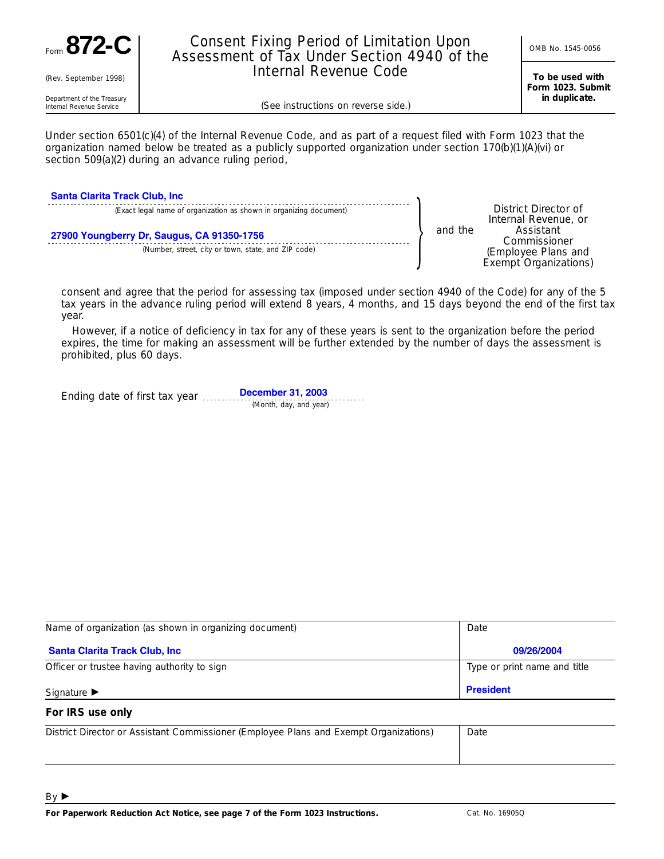

(Rev. September 1998)

# Consent Fixing Period of Limitation Upon <br>Assessment of Tax Under Section 4940 of the **CONB No. 1545-0056** Internal Revenue Code

**To be used with Form 1023. Submit in duplicate.**

Department of the Treasury<br>Internal Revenue Service

(See instructions on reverse side.)

Under section 6501(c)(4) of the Internal Revenue Code, and as part of a request filed with Form 1023 that the organization named below be treated as a publicly supported organization under section 170(b)(1)(A)(vi) or section 509(a)(2) during an advance ruling period,

| <b>Santa Clarita Track Club, Inc.</b>                                                             |  |                                                                           |
|---------------------------------------------------------------------------------------------------|--|---------------------------------------------------------------------------|
| (Exact legal name of organization as shown in organizing document)                                |  | District Director of<br>Internal Revenue, or                              |
| 27900 Youngberry Dr, Saugus, CA 91350-1756<br>(Number, street, city or town, state, and ZIP code) |  | Assistant<br>Commissioner<br>(Employee Plans and<br>Exempt Organizations) |

consent and agree that the period for assessing tax (imposed under section 4940 of the Code) for any of the 5 tax years in the advance ruling period will extend 8 years, 4 months, and 15 days beyond the end of the first tax year.

However, if a notice of deficiency in tax for any of these years is sent to the organization before the period expires, the time for making an assessment will be further extended by the number of days the assessment is prohibited, plus 60 days.

Ending date of first tax year *(Month, day, and year)* **December 31, 2003**

| Name of organization (as shown in organizing document) | Date                         |  |  |
|--------------------------------------------------------|------------------------------|--|--|
| <b>Santa Clarita Track Club, Inc.</b>                  | 09/26/2004                   |  |  |
| Officer or trustee having authority to sign            | Type or print name and title |  |  |
| Signature $\blacktriangleright$                        | <b>President</b>             |  |  |

### **For IRS use only**

| District Director or Assistant Commissioner (Employee Plans and Exempt Organizations) | Date |
|---------------------------------------------------------------------------------------|------|
|                                                                                       |      |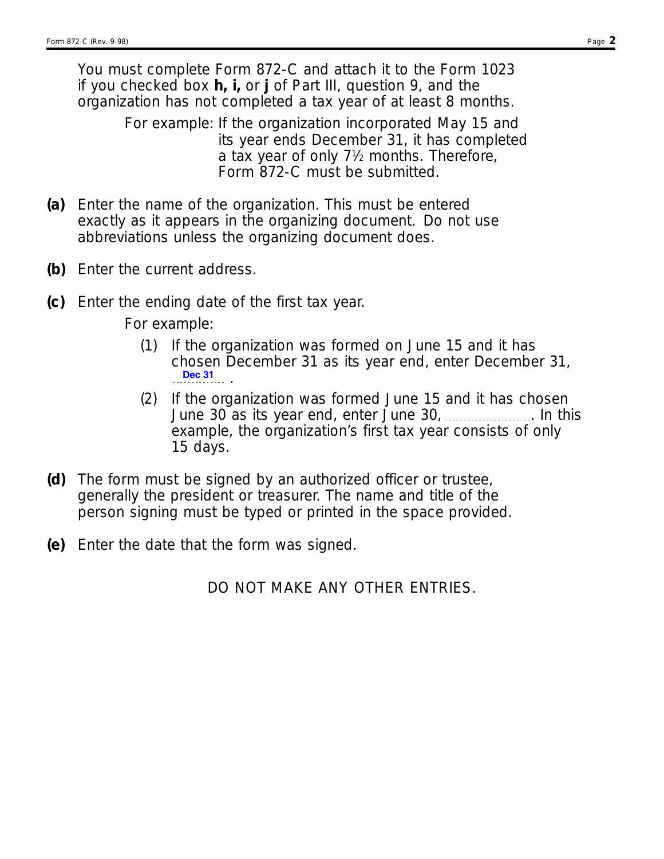You must complete Form 872-C and attach it to the Form 1023 if you checked box **h, i,** or **j** of Part III, question 9, and the organization has not completed a tax year of at least 8 months.

> For example: If the organization incorporated May 15 and its year ends December 31, it has completed a tax year of only 71⁄2 months. Therefore, Form 872-C must be submitted.

- Enter the name of the organization. This must be entered **(a)** exactly as it appears in the organizing document. Do not use abbreviations unless the organizing document does.
- **(b)** Enter the current address.
- **(c)** Enter the ending date of the first tax year.

For example:

- If the organization was formed on June 15 and it has (1) chosen December 31 as its year end, enter December 31, . **Dec 31**
- (2) If the organization was formed June 15 and it has chosen June 30 as its year end, enter June 30,  $\ldots$  is a limit this example, the organization's first tax year consists of only 15 days.
- The form must be signed by an authorized officer or trustee, **(d)** generally the president or treasurer. The name and title of the person signing must be typed or printed in the space provided.
- **(e)** Enter the date that the form was signed.

DO NOT MAKE ANY OTHER ENTRIES.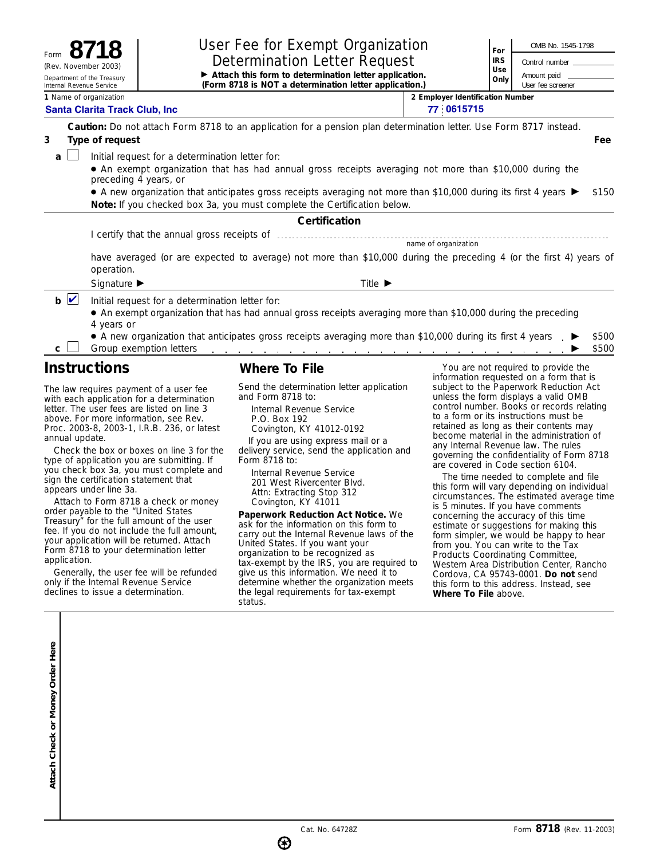|                                                                 | User Fee for Exempt Organization                                                                                                                                                                                                                                                                                                                                                   | For                                            | OMB No. 1545-1798 |  |  |  |  |  |
|-----------------------------------------------------------------|------------------------------------------------------------------------------------------------------------------------------------------------------------------------------------------------------------------------------------------------------------------------------------------------------------------------------------------------------------------------------------|------------------------------------------------|-------------------|--|--|--|--|--|
| Form<br>(Rev. November 2003)                                    | <b>Determination Letter Request</b>                                                                                                                                                                                                                                                                                                                                                |                                                |                   |  |  |  |  |  |
| Department of the Treasury<br>Internal Revenue Service          | Attach this form to determination letter application.<br>(Form 8718 is NOT a determination letter application.)                                                                                                                                                                                                                                                                    |                                                |                   |  |  |  |  |  |
| 1 Name of organization<br><b>Santa Clarita Track Club, Inc.</b> |                                                                                                                                                                                                                                                                                                                                                                                    | 2 Employer Identification Number<br>77 0615715 |                   |  |  |  |  |  |
|                                                                 | Caution: Do not attach Form 8718 to an application for a pension plan determination letter. Use Form 8717 instead.                                                                                                                                                                                                                                                                 |                                                |                   |  |  |  |  |  |
| Type of request<br>3                                            |                                                                                                                                                                                                                                                                                                                                                                                    |                                                | Fee               |  |  |  |  |  |
| a                                                               | Initial request for a determination letter for:<br>• An exempt organization that has had annual gross receipts averaging not more than \$10,000 during the<br>preceding 4 years, or<br>• A new organization that anticipates gross receipts averaging not more than \$10,000 during its first 4 years ▶<br>Note: If you checked box 3a, you must complete the Certification below. |                                                | \$150             |  |  |  |  |  |
|                                                                 | Certification                                                                                                                                                                                                                                                                                                                                                                      |                                                |                   |  |  |  |  |  |
|                                                                 |                                                                                                                                                                                                                                                                                                                                                                                    |                                                |                   |  |  |  |  |  |
|                                                                 | name of organization                                                                                                                                                                                                                                                                                                                                                               |                                                |                   |  |  |  |  |  |
|                                                                 | have averaged (or are expected to average) not more than \$10,000 during the preceding 4 (or the first 4) years of<br>operation.                                                                                                                                                                                                                                                   |                                                |                   |  |  |  |  |  |
| Signature $\blacktriangleright$                                 | Title $\blacktriangleright$                                                                                                                                                                                                                                                                                                                                                        |                                                |                   |  |  |  |  |  |
| $b$ $\vee$<br>4 years or                                        | Initial request for a determination letter for:<br>• An exempt organization that has had annual gross receipts averaging more than \$10,000 during the preceding<br>• A new organization that anticipates gross receipts averaging more than \$10,000 during its first 4 years .                                                                                                   |                                                | \$500             |  |  |  |  |  |
| C.<br>$\cdot$ $\cdot$                                           | Group exemption letters<br>المناطق والمناطق والمناطق والمناطق والمتناطق والمناطق والمناطق والمناطق والمناطق والمناطق والمناطق                                                                                                                                                                                                                                                      |                                                | \$500             |  |  |  |  |  |

## **Instructions**

The law requires payment of a user fee with each application for a determination letter. The user fees are listed on line 3 above. For more information, see Rev. Proc. 2003-8, 2003-1, I.R.B. 236, or latest annual update.

Check the box or boxes on line 3 for the type of application you are submitting. If you check box 3a, you must complete and sign the certification statement that appears under line 3a.

Attach to Form 8718 a check or money order payable to the "United States Treasury" for the full amount of the user fee. If you do not include the full amount, your application will be returned. Attach Form 8718 to your determination letter application.

Generally, the user fee will be refunded only if the Internal Revenue Service declines to issue a determination.

## **Where To File**

Send the determination letter application and Form 8718 to:

Internal Revenue Service P.O. Box 192 Covington, KY 41012-0192

If you are using express mail or a delivery service, send the application and Form 8718 to:

Internal Revenue Service 201 West Rivercenter Blvd. Attn: Extracting Stop 312 Covington, KY 41011

**Paperwork Reduction Act Notice.** We ask for the information on this form to carry out the Internal Revenue laws of the United States. If you want your organization to be recognized as tax-exempt by the IRS, you are required to give us this information. We need it to give as a set on the organization meets the legal requirements for tax-exempt status.

You are not required to provide the information requested on a form that is subject to the Paperwork Reduction Act unless the form displays a valid OMB control number. Books or records relating to a form or its instructions must be retained as long as their contents may become material in the administration of any Internal Revenue law. The rules governing the confidentiality of Form 8718 are covered in Code section 6104.

The time needed to complete and file this form will vary depending on individual circumstances. The estimated average time is 5 minutes. If you have comments concerning the accuracy of this time estimate or suggestions for making this form simpler, we would be happy to hear from you. You can write to the Tax Products Coordinating Committee, Western Area Distribution Center, Rancho Cordova, CA 95743-0001. **Do not** send this form to this address. Instead, see **Where To File** above.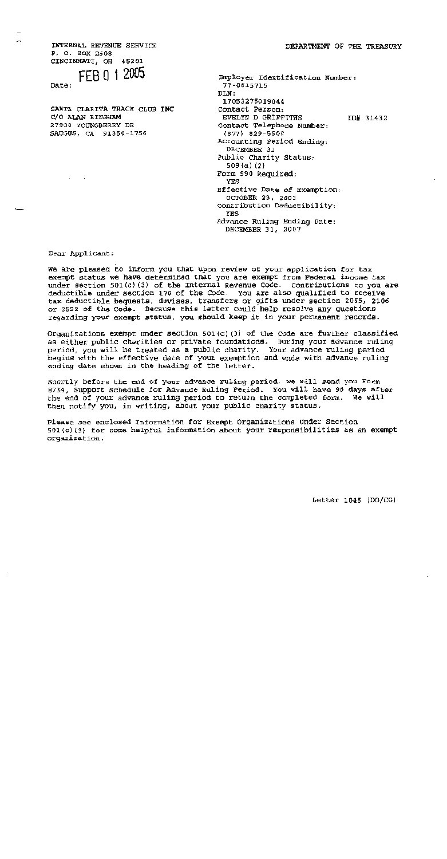INTERNAL REVENUE SERVICE P. O. BOX 2508 CINCINNATI, OH 45201

# FEB 0 1 2005

Date:

SANTA CLARITA TRACK CLUB INC C/O ALAN BINGHAM 27900 YOUNGBERRY DR SAUGUS, CA 91350-1756

| Employer Identification Number:<br>77-0615715 |           |
|-----------------------------------------------|-----------|
| DIN:                                          |           |
| 17053275019044                                |           |
| Contact Person:                               |           |
| EVELYN D GRIFFITHS                            | ID# 31432 |
| Contact Telephone Number:                     |           |
| $(877)$ 829-5500                              |           |
| Accounting Period Ending:                     |           |
| DECEMBER 31                                   |           |
| Public Charity Status:                        |           |
| 509 (a) (2)                                   |           |
| Form 990 Required:                            |           |
| YES                                           |           |
| Effective Date of Exemption:                  |           |
| OCTOBER 23, 2003                              |           |
| Contribution Deductibility;                   |           |
| YES                                           |           |
| Advance Ruling Ending Date:                   |           |
| DECEMBER 31, 2007                             |           |

### Dear Applicant:

We are pleased to inform you that upon review of your application for tax exempt status we have determined that you are exempt from Federal income tax under section 501(c)(3) of the Internal Revenue Code. Contributions to you are deductible under section 170 of the Code. You are also qualified to receive tax deductible bequests, devises, transfers or gifts under section 2055, 2106 or 2522 of the Code. Because this letter could help resolve any questions regarding your exempt status, you should keep it in your permanent records.

Organizations exempt under section  $501(c)(3)$  of the Code are further classified as either public charities or private foundations. During your advance ruling period, you will be treated as a public charity. Your advance ruling period begins with the effective date of your exemption and ends with advance ruling ending date shown in the heading of the letter.

Shortly before the end of your advance ruling period, we will send you Form 8734, Support Schedule for Advance Ruling Period. You will have 90 days after the end of your advance ruling period to return the completed form. We will then notify you, in writing, about your public charity status.

Please see enclosed Information for Exempt Organizations Under Section 501(c)(3) for some helpful information about your responsibilities as an exempt organization.

Letter  $1045$  (DO/CG)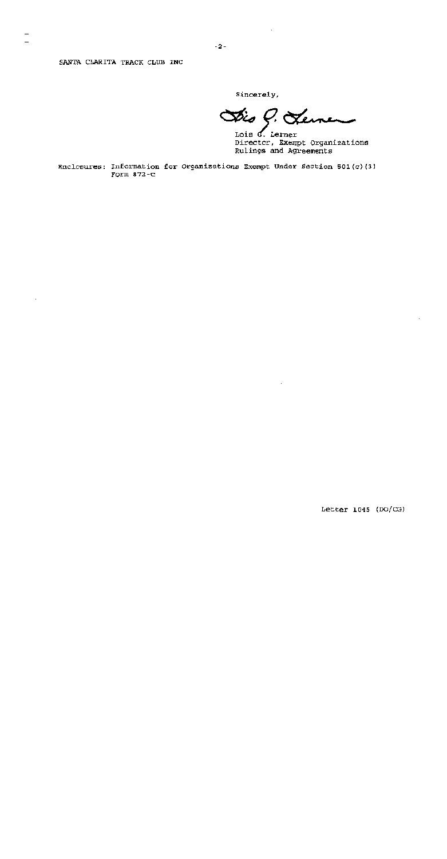Sincerely,

Dis P. Lemen

Lois G. Lerner Director, Exempt Organizations Rulings and Agreements

Enclosures: Information for Organizations Exempt Under Section 501(c)(3) Form  $872-C$ 

 $-2-$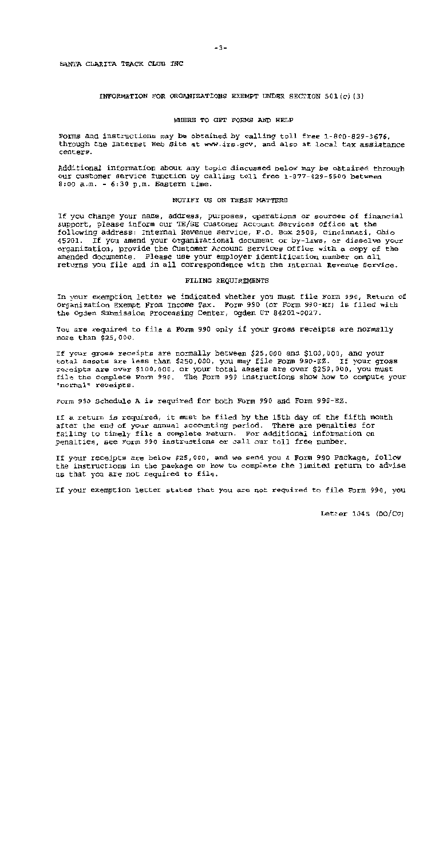### INFORMATION FOR ORGANIZATIONS EXEMPT UNDER SECTION 501(c)(3)

### WHERE TO GET FORMS AND HELP

Forms and instructions may be obtained by calling toll free 1-800-829-3676. through the Internet Web Site at www.irs.gov, and also at local tax assistance centers.

Additional information about any topic discussed below may be obtained through our customer service function by calling toll free 1-877-829-5500 between  $8:00$  a.m. -  $6:30$  p.m. Eastern time.

### NOTIFY US ON THESE MATTERS

If you change your name, address, purposes, operations or sources of financial support, please inform our TE/GE Customer Account Services Office at the following address: Internal Revenue Service, P.O. Box 2508, Cincinnati, Ohio 45201. If you amend your organizational document or by-laws, or dissolve your organization, provide the Customer Account Services Office with a copy of the amended documents. Please use your employer identification number on all returns you file and in all correspondence with the Internal Revenue Service.

### FILING REQUIREMENTS

In your exemption letter we indicated whether you must file Form 990, Return of Organization Exempt From Income Tax. Form 990 (or Form 990-EZ) is filed with the Ogden Submission Processing Center, Ogden UT 84201-0027.

You are required to file a Form 990 only if your gross receipts are normally more than \$25,000.

If your gross receipts are normally between \$25,000 and \$100,000, and your total assets are less than \$250,000, you may file Form 990-EZ. If your gross receipts are over \$100,000, or your total assets are over \$250,000, you must file the complete Form 990. The Form 990 instructions show how to compute your "normal" receipts.

Form 990 Schedule A is required for both Form 990 and Form 990-EZ.

If a return is required, it must be filed by the 15th day of the fifth month after the end of your annual accounting period. There are penalties for failing to timely file a complete return. For additional information on penalties, see Form 990 instructions or call our toll free number.

If your receipts are below \$25,000, and we send you a Form 990 Package, follow the instructions in the package on how to complete the limited return to advise us that you are not required to file.

If your exemption letter states that you are not required to file Form 990, you

Letter 1045  $(DO/CG)$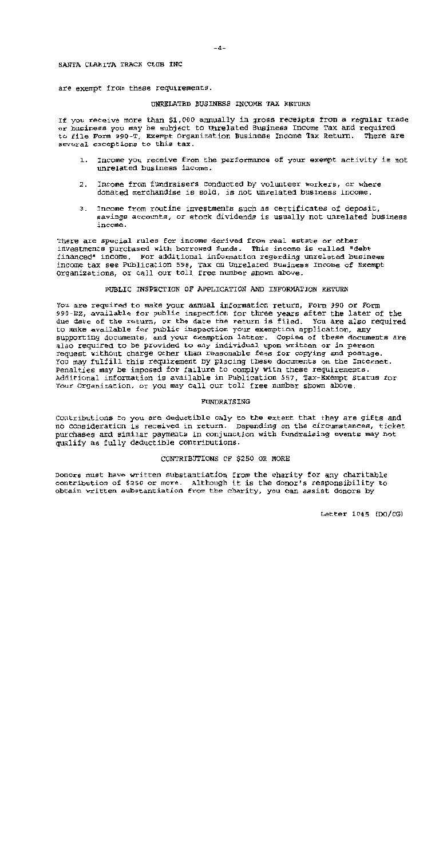are exempt from these requirements.

### UNRELATED BUSINESS INCOME TAX RETURN

If you receive more than \$1,000 annually in gross receipts from a regular trade or business you may be subject to Unrelated Business Income Tax and required to file Form 990-T, Exempt Organization Business Income Tax Return. There are several exceptions to this tax.

- Income you receive from the performance of your exempt activity is not  $1.$ unrelated business income.
- Income from fundraisers conducted by volunteer workers, or where 2. donated merchandise is sold, is not unrelated business income.
- Income from routine investments such as certificates of deposit. 3. savings accounts, or stock dividends is usually not unrelated business income.

There are special rules for income derived from real estate or other investments purchased with borrowed funds. This income is called "debt financed" income. For additional information regarding unrelated business income tax see Publication 598, Tax on Unrelated Business Income of Exempt Organizations, or call our toll free number shown above.

PUBLIC INSPECTION OF APPLICATION AND INFORMATION RETURN

You are required to make your annual information return, Form 990 or Form 990-EZ, available for public inspection for three years after the later of the due date of the return, or the date the return is filed. You are also required to make available for public inspection your exemption application, any supporting documents, and your exemption letter. Copies of these documents are also required to be provided to any individual upon written or in person request without charge other than reasonable fees for copying and postage. You may fulfill this requirement by placing these documents on the Internet. Penalties may be imposed for failure to comply with these requirements. Additional information is available in Publication 557, Tax-Exempt Status for Your Organization, or you may call our toll free number shown above.

### FUNDRAISING

Contributions to you are deductible only to the extent that they are gifts and no consideration is received in return. Depending on the circumstances, ticket purchases and similar payments in conjunction with fundraising events may not qualify as fully deductible contributions.

### CONTRIBUTIONS OF \$250 OR MORE

Donors must have written substantiation from the charity for any charitable contribution of \$250 or more. Although it is the donor's responsibility to obtain written substantiation from the charity, you can assist donors by

Letter 1045 (DO/CG)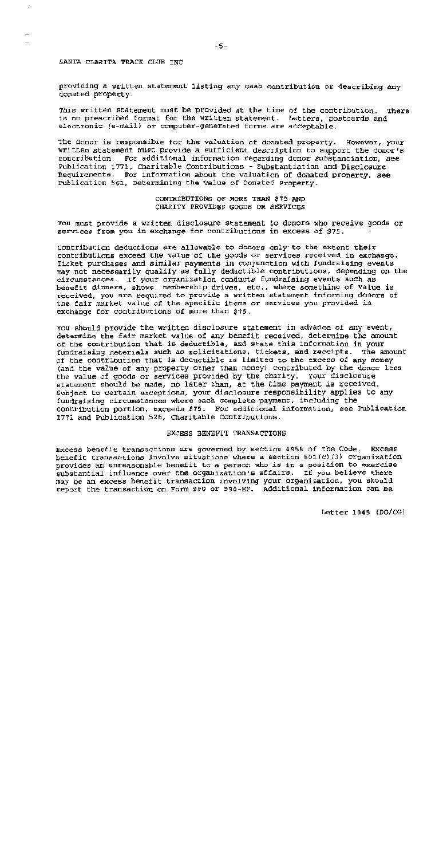providing a written statement listing any cash contribution or describing any donated property.

This written statement must be provided at the time of the contribution. There is no prescribed format for the written statement. Letters, postcards and electronic (e-mail) or computer-generated forms are acceptable.

The donor is responsible for the valuation of donated property. However, your written statement must provide a sufficient description to support the donor's contribution. For additional information regarding donor substantiation, see Publication 1771, Charitable Contributions - Substantiation and Disclosure Requirements. For information about the valuation of donated property, see Publication 561, Determining the Value of Donated Property.

> CONTRIBUTIONS OF MORE THAN \$75 AND CHARITY PROVIDES GOODS OR SERVICES

You must provide a written disclosure statement to donors who receive goods or services from you in exchange for contributions in excess of \$75.

Contribution deductions are allowable to donors only to the extent their contributions exceed the value of the goods or services received in exchange. Ticket purchases and similar payments in conjunction with fundraising events may not necessarily qualify as fully deductible contributions, depending on the circumstances. If your organization conducts fundraising events such as benefit dinners, shows, membership drives, etc., where something of value is received, you are required to provide a written statement informing donors of the fair market value of the specific items or services you provided in exchange for contributions of more than \$75.

You should provide the written disclosure statement in advance of any event, determine the fair market value of any benefit received, determine the amount of the contribution that is deductible, and state this information in your fundraising materials such as solicitations, tickets, and receipts. The amount of the contribution that is deductible is limited to the excess of any money (and the value of any property other than money) contributed by the donor less the value of goods or services provided by the charity. Your disclosure statement should be made, no later than, at the time payment is received. Subject to certain exceptions, your disclosure responsibility applies to any fundraising circumstances where each complete payment, including the contribution portion, exceeds \$75. For additional information, see Publication 1771 and Publication 526, Charitable Contributions.

### EXCESS BENEFIT TRANSACTIONS

Excess benefit transactions are governed by section 4958 of the Code. Excess benefit transactions involve situations where a section 501(c)(3) organization provides an unreasonable benefit to a person who is in a position to exercise substantial influence over the organization's affairs. If you believe there may be an excess benefit transaction involving your organization, you should report the transaction on Form 990 or 990-EZ. Additional information can be

 $-5-$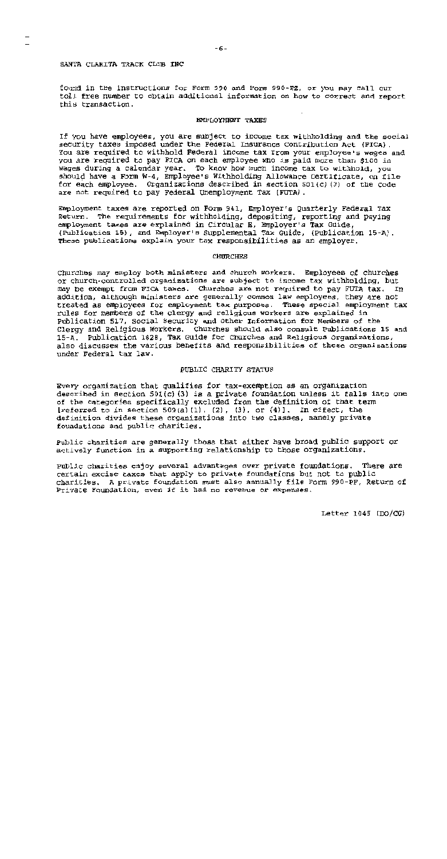found in the instructions for Form 990 and Form 990-EZ, or you may call our tol! free number to obtain additional information on how to correct and report this transaction.

### **EMPLOYMENT TAXES**

If you have employees, you are subject to income tax withholding and the social security taxes imposed under the Federal Insurance Contribution Act (FICA). You are required to withhold Federal income tax from your employee's wages and you are required to pay FICA on each employee who is paid more than \$100 in wages during a calendar year. To know how much income tax to withhold, you should have a Form W-4, Employee's Withholding Allowance Certificate, on file for each employee. Organizations described in section 501(c)(3) of the Code are not required to pay Federal Unemployment Tax (FUTA).

Employment taxes are reported on Form 941, Employer's Quarterly Federal Tax Return. The requirements for withholding, depositing, reporting and paying employment taxes are explained in Circular E. Employer's Tax Guide, (Publication 15), and Employer's Supplemental Tax Guide, (Publication 15-A). These publications explain your tax responsibilities as an employer.

### **CHURCHES**

Churches may employ both ministers and church workers. Employees of churches or church-controlled organizations are subject to income tax withholding, but may be exempt from FICA taxes. Churches are not required to pay FUTA tax. In addition, although ministers are generally common law employees, they are not treated as employees for employment tax purposes. These special employment tax rules for members of the clergy and religious workers are explained in Publication 517, Social Security and Other Information for Members of the Clergy and Religious Workers. Churches should also consult Publications 15 and 15-A. Publication 1828, Tax Guide for Churches and Religious Organizations, also discusses the various benefits and responsibilities of these organizations under Federal tax law.

### PUBLIC CHARITY STATUS

Every organization that qualifies for tax-exemption as an organization described in section  $501(c)$  (3) is a private foundation unless it falls into one of the categories specifically excluded from the definition of that term [referred to in section 509(a)(1), (2), (3), or  $(4)$ ]. In effect, the definition divides these organizations into two classes, namely private foundations and public charities.

Public charities are generally those that either have broad public support or actively function in a supporting relationship to those organizations.

Public charities enjoy several advantages over private foundations. There are certain excise taxes that apply to private foundations but not to public charities. A private foundation must also annually file Form 990-PF, Return of Private Foundation, even if it had no revenue or expenses.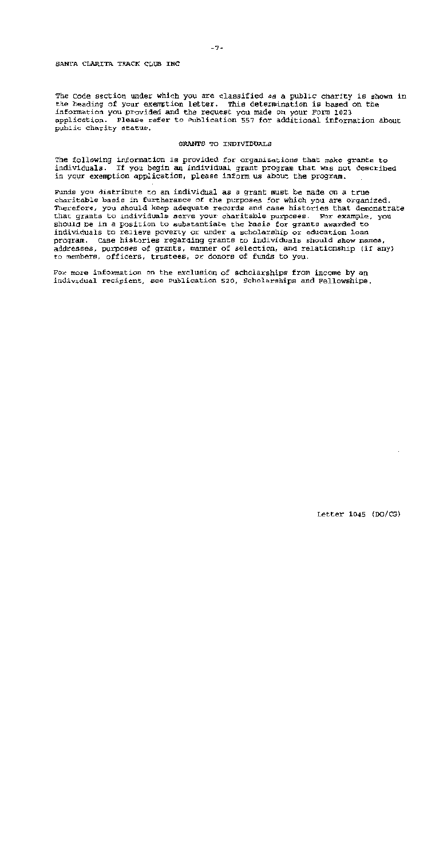The Code section under which you are classified as a public charity is shown in the heading of your exemption letter. This determination is based on the information you provided and the request you made on your Form 1023 application. Please refer to Publication 557 for additional information about public charity status.

### GRANTS TO INDIVIDUALS

The following information is provided for organizations that make grants to individuals. If you begin an individual grant program that was not described in your exemption application, please inform us about the program.

Funds you distribute to an individual as a grant must be made on a true charitable basis in furtherance of the purposes for which you are organized. Therefore, you should keep adequate records and case histories that demonstrate that grants to individuals serve your charitable purposes. For example, you should be in a position to substantiate the basis for grants awarded to individuals to relieve poverty or under a scholarship or education loan program. Case histories regarding grants to individuals should show names, addresses, purposes of grants, manner of selection, and relationship (if any) to members, officers, trustees, or donors of funds to you.

For more information on the exclusion of scholarships from income by an individual recipient, see Publication 520, Scholarships and Fellowships.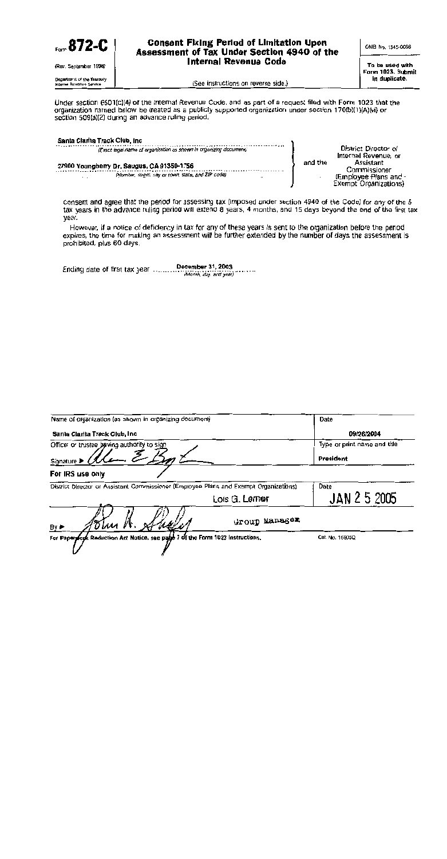

Under section 6501(c)(4) of the Internal Revenue Code, and as part of a request filed with Form 1023 that the organization named below be treated as a publicly supported organization under section 170(b)(1)(A)(vi) or section 509(a)(2) during an advance ruling period.

| Santa Clarita Track Club, Inc.                                                                                                        |         |                                                                             |
|---------------------------------------------------------------------------------------------------------------------------------------|---------|-----------------------------------------------------------------------------|
| (Exact legal name of organization as shown in organizing document)                                                                    |         | District Director of<br>Internal Revenue, or                                |
| 27900 Youngberry Dr. Saugus, CA 91350-1756<br>(Number, street, city or town, state, and ZIP code)<br>$\ddot{\phantom{a}}$<br>$\cdots$ | and the | Assistant<br>Commissioner<br>(Employee Plans and -<br>Exempt Organizations) |

consent and agree that the period for assessing tax (imposed under section 4940 of the Code) for any of the 5 tax years in the advance ruling period will extend 8 years. 4 months, and 15 days beyond the end of the first tax year.

However, if a notice of deficiency in tax for any of these years is sent to the organization before the period expires, the time for making an assessment will be further extended by the number of days the assessment is prohibited, plus 60 days.

| (Month, day, and year) |  |  |  |  | December 31, 2003 |
|------------------------|--|--|--|--|-------------------|
|------------------------|--|--|--|--|-------------------|

| Name of organization (as shown in organizing document)                                |                | Date                                      |
|---------------------------------------------------------------------------------------|----------------|-------------------------------------------|
| Santa Clarita Track Club, Inc.                                                        |                | 09/26/2004                                |
| Officer or trustee beving authority to sign<br>Signature D                            |                | Type or print name and title<br>President |
| For IRS use only                                                                      |                |                                           |
| District Director or Assistant Commissioner (Employee Plans and Exempt Organizations) |                | Date                                      |
|                                                                                       | Lois G. Lerner | JAN 2 5 2005                              |
| "Dhu A<br>Anse.<br>By ►                                                               | Group Manager  |                                           |
| For Paperyfork Reduction Act Notice, see page 7 of the Form 1023 Instructions.        |                | Cat. No. 16905Q                           |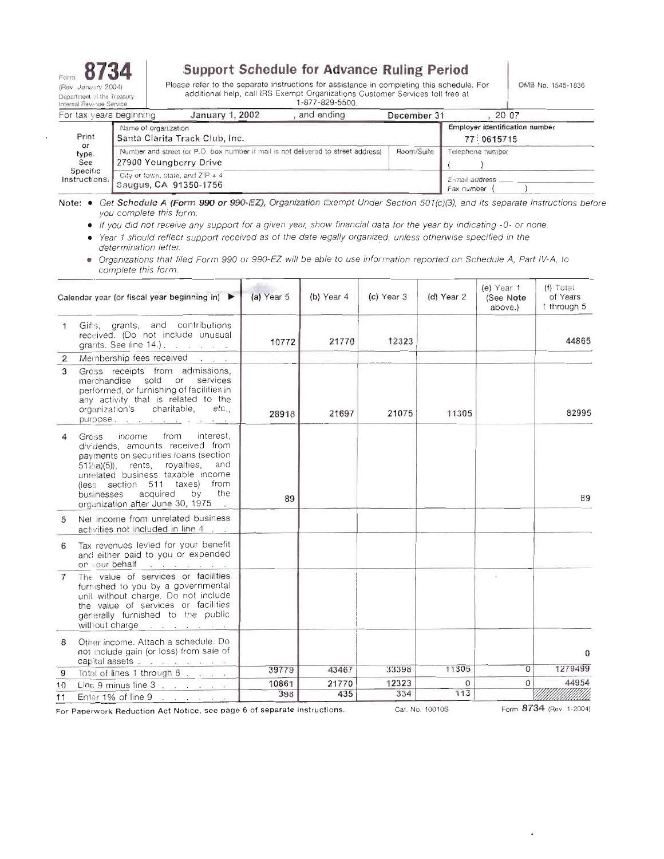

## **Support Schedule for Advance Ruling Period**

Please refer to the separate instructions for assistance in completing this schedule. For additional help, call IRS Exempt Organizations Customer Services toll free at 1-877-829-5500.

OMB No. 1545-1836

| For tax years beginning     |                                                           | January 1, 2002                                                                   | and ending | December 31 | 20 07                                        |
|-----------------------------|-----------------------------------------------------------|-----------------------------------------------------------------------------------|------------|-------------|----------------------------------------------|
| Print<br>or<br>type.<br>See | Name of organization                                      | Santa Clarita Track Club, Inc.                                                    |            |             | Employer identification number<br>77:0615715 |
|                             | 27900 Youngberry Drive                                    | Number and street (or P.O. box number if mail is not delivered to street address) |            | Room/Suite  | Telephone number                             |
| Specific<br>Instructions.   | City or town, state, and ZIP + 4<br>Saugus, CA 91350-1756 |                                                                                   |            |             | E-mail address<br>Fax number                 |

Note: . Get Schedule A (Form 990 or 990-EZ), Organization Exempt Under Section 501(c)(3), and its separate Instructions before you complete this form.

• If you did not receive any support for a given year, show financial data for the year by indicating -0- or none.

Year 1 should reflect support received as of the date legally organized, unless otherwise specified in the  $\bullet$ determination letter.

· Organizations that filed Form 990 or 990-EZ will be able to use information reported on Schedule A, Part IV-A, to complete this form.

|                | Calendar year (or fiscal year beginning in) $\blacktriangleright$                                                                                                                                                                                                                                                          | (a) Year 5 | $(b)$ Year 4 | $(c)$ Year 3 | (d) Year 2 | (e) Year 1<br>(See Note<br>above.) | $(f)$ Total<br>of Years<br>1 through 5 |
|----------------|----------------------------------------------------------------------------------------------------------------------------------------------------------------------------------------------------------------------------------------------------------------------------------------------------------------------------|------------|--------------|--------------|------------|------------------------------------|----------------------------------------|
|                | Gifts, grants, and contributions<br>received. (Do not include unusual<br>grants. See line 14.).                                                                                                                                                                                                                            | 10772      | 21770        | 12323        |            |                                    | 44865                                  |
| $\overline{2}$ | Membership fees received                                                                                                                                                                                                                                                                                                   |            |              |              |            |                                    |                                        |
| 3              | Gross receipts from admissions,<br>merchandise sold or services<br>performed, or furnishing of facilities in<br>any activity that is related to the<br>organization's charitable,<br>etc.,<br>purpose.                                                                                                                     | 28918      | 21697        | 21075        | 11305      |                                    | 82995                                  |
| 4              | from<br>interest.<br>Gross<br>income<br>dividends, amounts received from<br>payments on securities loans (section<br>512(a)(5)), rents, royalties,<br>and<br>unrelated business taxable income<br>(less section 511 taxes) from<br>acquired<br>by<br>the<br>businesses<br>organization after June 30, 1975<br><b>Allen</b> | 89         |              |              |            |                                    | 89                                     |
| 5              | Net income from unrelated business<br>activities not included in line 4                                                                                                                                                                                                                                                    |            |              |              |            |                                    |                                        |
| 6              | Tax revenues levied for your benefit<br>and either paid to you or expended<br>on your behalf<br><b>Contract State State</b>                                                                                                                                                                                                |            |              |              |            |                                    |                                        |
| 7              | The value of services or facilities<br>furnished to you by a governmental<br>unit without charge. Do not include<br>the value of services or facilities<br>generally furnished to the public<br>without charge reserve that is a set of the set of the set of the set of the set of the set of the set of the s            |            |              |              |            |                                    |                                        |
| 8              | Other income. Attach a schedule. Do<br>not include gain (or loss) from sale of<br>capital assets                                                                                                                                                                                                                           |            |              |              |            |                                    | $\Omega$                               |
| 9              | Total of lines 1 through 8                                                                                                                                                                                                                                                                                                 | 39779      | 43467        | 33398        | 11305      | $\Omega$                           | 1279499                                |
| 10             | Line 9 minus line $3, 1, 1, 1, 1, 1$                                                                                                                                                                                                                                                                                       | 10861      | 21770        | 12323        | 0          | 0                                  | 44954                                  |
| 11             | Enter 1% of line 9<br>the contract of the contract of                                                                                                                                                                                                                                                                      | 398        | 435          | 334          | 113        |                                    |                                        |

For Paperwork Reduction Act Notice, see page 6 of separate instructions.

Cat. No. 10010S

Form 8734 (Rev. 1-2004)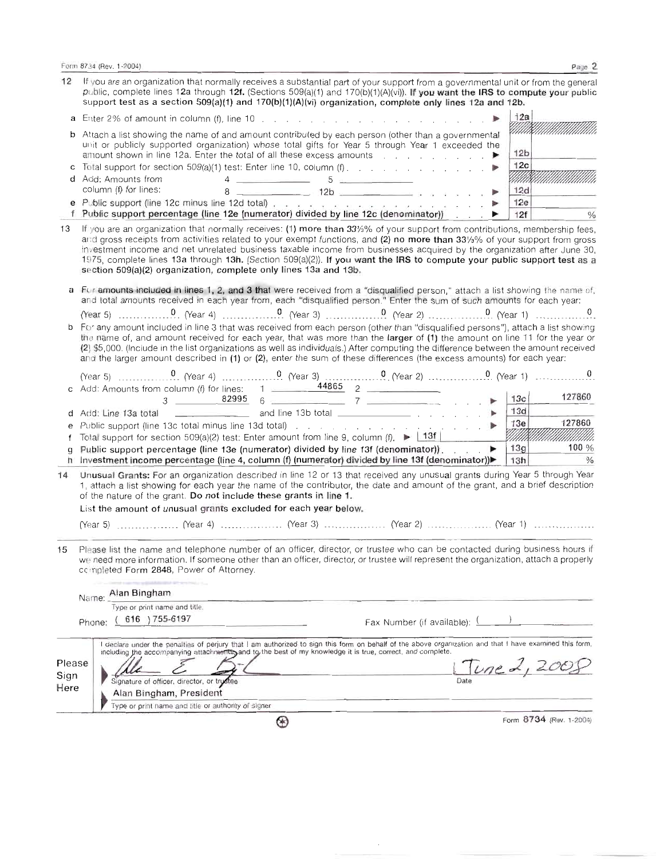Form 8734 (Rev. 1-2004)

| 12           | If you are an organization that normally receives a substantial part of your support from a governmental unit or from the general<br>public, complete lines 12a through 12f. (Sections 509(a)(1) and 170(b)(1)(A)(vi)). If you want the IRS to compute your public<br>support test as a section 509(a)(1) and 170(b)(1)(A)(vi) organization, complete only lines 12a and 12b.                                                                                                                                                                                                       |                             |
|--------------|-------------------------------------------------------------------------------------------------------------------------------------------------------------------------------------------------------------------------------------------------------------------------------------------------------------------------------------------------------------------------------------------------------------------------------------------------------------------------------------------------------------------------------------------------------------------------------------|-----------------------------|
|              | <b>a</b> Enter 2% of amount in column (f), line 10 $\ldots$ $\ldots$ $\ldots$ $\ldots$ $\ldots$ $\ldots$ $\ldots$                                                                                                                                                                                                                                                                                                                                                                                                                                                                   | 12a                         |
|              | <b>b</b> Attach a list showing the name of and amount contributed by each person (other than a governmental<br>unit or publicly supported organization) whose total gifts for Year 5 through Year 1 exceeded the<br>amount shown in line 12a. Enter the total of all these excess amounts $\Box$                                                                                                                                                                                                                                                                                    | 12 <sub>b</sub>             |
|              | c Total support for section $509(a)(1)$ test: Enter line 10, column $(f)$ , , , ,                                                                                                                                                                                                                                                                                                                                                                                                                                                                                                   | 12c                         |
|              | $4 \frac{1}{2}$ 5 $\frac{1}{2}$ 5 $\frac{1}{2}$ 6 $\frac{1}{2}$ 6 $\frac{1}{2}$ 6 $\frac{1}{2}$ 6 $\frac{1}{2}$ 6 $\frac{1}{2}$ 6 $\frac{1}{2}$ 6 $\frac{1}{2}$ 6 $\frac{1}{2}$ 6 $\frac{1}{2}$ 6 $\frac{1}{2}$ 6 $\frac{1}{2}$ 6 $\frac{1}{2}$ 6 $\frac{1}{2}$ 6 $\frac{1}{2}$ 6 $\frac{1}{2}$ 6 $\frac{$<br>d Add: Amounts from<br>column (f) for lines:                                                                                                                                                                                                                          | MMR<br>12d                  |
|              | $8 \sim 12b$<br>e Public support (line 12c minus line 12d total) entering the contract of the contract of the contract of the                                                                                                                                                                                                                                                                                                                                                                                                                                                       | 12e                         |
|              | f Public support percentage (line 12e (numerator) divided by line 12c (denominator))<br>▶                                                                                                                                                                                                                                                                                                                                                                                                                                                                                           | 12f<br>$\frac{0}{0}$        |
| 13           | If you are an organization that normally receives: (1) more than 33%% of your support from contributions, membership fees,<br>and gross receipts from activities related to your exempt functions, and (2) no more than 331/3% of your support from gross<br>investment income and net unrelated business taxable income from businesses acquired by the organization after June 30,<br>1975, complete lines 13a through 13h. (Section 509(a)(2)). If you want the IRS to compute your public support test as a<br>section 509(a)(2) organization, complete only lines 13a and 13b. |                             |
|              | a Fur amounts included in lines 1, 2, and 3 that were received from a "disqualified person," attach a list showing the name of,<br>and total amounts received in each year from, each "disqualified person." Enter the sum of such amounts for each year:                                                                                                                                                                                                                                                                                                                           |                             |
|              |                                                                                                                                                                                                                                                                                                                                                                                                                                                                                                                                                                                     |                             |
|              | b For any amount included in line 3 that was received from each person (other than "disqualified persons"), attach a list showing<br>the name of, and amount received for each year, that was more than the larger of (1) the amount on line 11 for the year or<br>(2) \$5,000. (Include in the list organizations as well as individuals.) After computing the difference between the amount received<br>and the larger amount described in (1) or (2), enter the sum of these differences (the excess amounts) for each year:                                                     |                             |
|              |                                                                                                                                                                                                                                                                                                                                                                                                                                                                                                                                                                                     |                             |
|              | c Add: Amounts from column (f) for lines: 1 $\frac{44865}{2}$ 2<br>$3 \t 82995 \t 6 \t 7 \t 7$                                                                                                                                                                                                                                                                                                                                                                                                                                                                                      | 127860<br>13c               |
|              |                                                                                                                                                                                                                                                                                                                                                                                                                                                                                                                                                                                     | 13d                         |
| е            |                                                                                                                                                                                                                                                                                                                                                                                                                                                                                                                                                                                     | 127860<br>13e               |
| f            | Total support for section 509(a)(2) test: Enter amount from line 9, column (f). $\blacktriangleright$ 13f                                                                                                                                                                                                                                                                                                                                                                                                                                                                           | MMMMM<br>100%               |
| q            | Public support percentage (line 13e (numerator) divided by line 13f (denominator)).<br>h Investment income percentage (line 4, column (f) (numerator) divided by line 13f (denominator))                                                                                                                                                                                                                                                                                                                                                                                            | 13g<br>$\frac{1}{2}$<br>13h |
| 14           | Unusual Grants: For an organization described in line 12 or 13 that received any unusual grants during Year 5 through Year<br>1, attach a list showing for each year the name of the contributor, the date and amount of the grant, and a brief description<br>of the nature of the grant. Do not include these grants in line 1.                                                                                                                                                                                                                                                   |                             |
|              | List the amount of unusual grants excluded for each year below.                                                                                                                                                                                                                                                                                                                                                                                                                                                                                                                     |                             |
|              |                                                                                                                                                                                                                                                                                                                                                                                                                                                                                                                                                                                     |                             |
| 15           | Please list the name and telephone number of an officer, director, or trustee who can be contacted during business hours if<br>we need more information. If someone other than an officer, director, or trustee will represent the organization, attach a properly<br>completed Form 2848, Power of Attorney.                                                                                                                                                                                                                                                                       |                             |
|              | Aian Bingham                                                                                                                                                                                                                                                                                                                                                                                                                                                                                                                                                                        |                             |
|              | Name:<br>Type or print name and title.                                                                                                                                                                                                                                                                                                                                                                                                                                                                                                                                              |                             |
|              | 616 ) 755-6197<br>Fax Number (if available):                                                                                                                                                                                                                                                                                                                                                                                                                                                                                                                                        |                             |
|              | Phone:                                                                                                                                                                                                                                                                                                                                                                                                                                                                                                                                                                              |                             |
|              | I declare under the penalties of perjury that I am authorized to sign this form on behalf of the above organization and that I have examined this form,<br>including the accompanying attachments, and to the best of my knowledge it is true, correct, and complete.                                                                                                                                                                                                                                                                                                               |                             |
| Please       |                                                                                                                                                                                                                                                                                                                                                                                                                                                                                                                                                                                     | line A, 20                  |
| Sign<br>Here | <b>Date</b><br>Signature of officer, director, or trustee                                                                                                                                                                                                                                                                                                                                                                                                                                                                                                                           |                             |
|              | Alan Bingham, President<br>Type or print name and title or authority of signer                                                                                                                                                                                                                                                                                                                                                                                                                                                                                                      |                             |
|              | ⊕                                                                                                                                                                                                                                                                                                                                                                                                                                                                                                                                                                                   | Form 8734 (Rev. 1-2004)     |
|              |                                                                                                                                                                                                                                                                                                                                                                                                                                                                                                                                                                                     |                             |